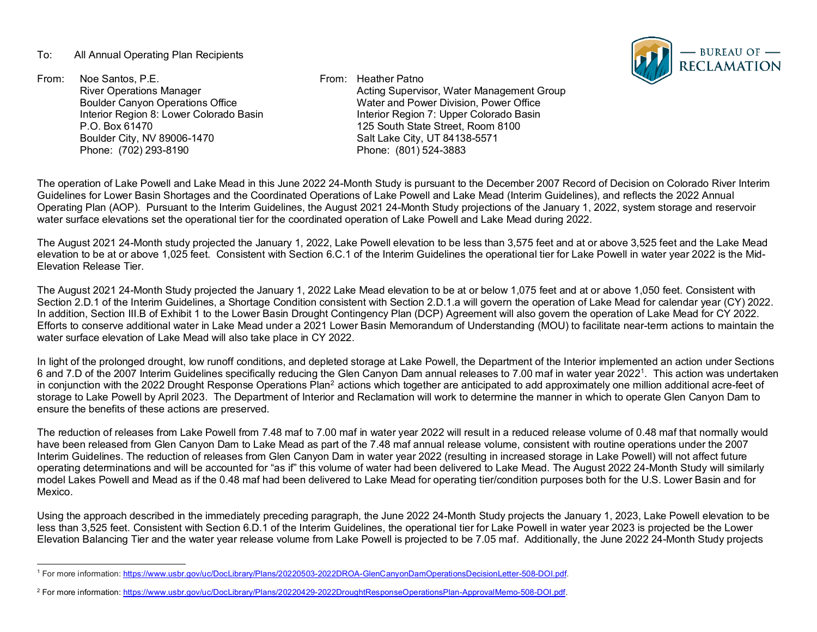#### To: All Annual Operating Plan Recipients

<span id="page-0-1"></span><span id="page-0-0"></span>

- From: Noe Santos, P.E. River Operations Manager Boulder Canyon Operations Office Interior Region 8: Lower Colorado Basin P.O. Box 61470 Boulder City, NV 89006-1470 Phone: (702) 293-8190
- From: Heather Patno Acting Supervisor, Water Management Group Water and Power Division, Power Office Interior Region 7: Upper Colorado Basin 125 South State Street, Room 8100 Salt Lake City, UT 84138-5571 Phone: (801) 524-3883

The operation of Lake Powell and Lake Mead in this June 2022 24-Month Study is pursuant to the December 2007 Record of Decision on Colorado River Interim Guidelines for Lower Basin Shortages and the Coordinated Operations of Lake Powell and Lake Mead (Interim Guidelines), and reflects the 2022 Annual Operating Plan (AOP). Pursuant to the Interim Guidelines, the August 2021 24-Month Study projections of the January 1, 2022, system storage and reservoir water surface elevations set the operational tier for the coordinated operation of Lake Powell and Lake Mead during 2022.

The August 2021 24-Month study projected the January 1, 2022, Lake Powell elevation to be less than 3,575 feet and at or above 3,525 feet and the Lake Mead elevation to be at or above 1,025 feet. Consistent with Section 6.C.1 of the Interim Guidelines the operational tier for Lake Powell in water year 2022 is the Mid-Elevation Release Tier.

The August 2021 24-Month Study projected the January 1, 2022 Lake Mead elevation to be at or below 1,075 feet and at or above 1,050 feet. Consistent with Section 2.D.1 of the Interim Guidelines, a Shortage Condition consistent with Section 2.D.1.a will govern the operation of Lake Mead for calendar year (CY) 2022. In addition, Section III.B of Exhibit 1 to the Lower Basin Drought Contingency Plan (DCP) Agreement will also govern the operation of Lake Mead for CY 2022. Efforts to conserve additional water in Lake Mead under a 2021 Lower Basin Memorandum of Understanding (MOU) to facilitate near-term actions to maintain the water surface elevation of Lake Mead will also take place in CY 2022.

In light of the prolonged drought, low runoff conditions, and depleted storage at Lake Powell, the Department of the Interior implemented an action under Sections 6 and 7.D of the 2007 Interim Guidelines specifically reducing the Glen Canyon Dam annual releases to 7.00 maf in water year 2022[1.](#page-0-0) This action was undertaken in conjunction with the 2022 Drought Response Operations Plan<sup>2</sup> actions which together are anticipated to add approximately one million additional acre-feet of storage to Lake Powell by April 2023. The Department of Interior and Reclamation will work to determine the manner in which to operate Glen Canyon Dam to ensure the benefits of these actions are preserved.

The reduction of releases from Lake Powell from 7.48 maf to 7.00 maf in water year 2022 will result in a reduced release volume of 0.48 maf that normally would have been released from Glen Canyon Dam to Lake Mead as part of the 7.48 maf annual release volume, consistent with routine operations under the 2007 Interim Guidelines. The reduction of releases from Glen Canyon Dam in water year 2022 (resulting in increased storage in Lake Powell) will not affect future operating determinations and will be accounted for "as if" this volume of water had been delivered to Lake Mead. The August 2022 24-Month Study will similarly model Lakes Powell and Mead as if the 0.48 maf had been delivered to Lake Mead for operating tier/condition purposes both for the U.S. Lower Basin and for Mexico.

Using the approach described in the immediately preceding paragraph, the June 2022 24-Month Study projects the January 1, 2023, Lake Powell elevation to be less than 3,525 feet. Consistent with Section 6.D.1 of the Interim Guidelines, the operational tier for Lake Powell in water year 2023 is projected be the Lower Elevation Balancing Tier and the water year release volume from Lake Powell is projected to be 7.05 maf. Additionally, the June 2022 24-Month Study projects

<sup>1</sup> For more information[: https://www.usbr.gov/uc/DocLibrary/Plans/20220503-2022DROA-GlenCanyonDamOperationsDecisionLetter-508-DOI.pdf.](https://gcc02.safelinks.protection.outlook.com/?url=https%3A%2F%2Fwww.usbr.gov%2Fuc%2FDocLibrary%2FPlans%2F20220503-2022DROA-GlenCanyonDamOperationsDecisionLetter-508-DOI.pdf&data=05%7C01%7CCJerla%40usbr.gov%7Cd7193bbeb2d94d75191f08da34f9638a%7C0693b5ba4b184d7b9341f32f400a5494%7C0%7C0%7C637880542965430682%7CUnknown%7CTWFpbGZsb3d8eyJWIjoiMC4wLjAwMDAiLCJQIjoiV2luMzIiLCJBTiI6Ik1haWwiLCJXVCI6Mn0%3D%7C3000%7C%7C%7C&sdata=2dneRE8lXb4MHz1o1kt92rEoa0SpPIw5ZhSF1UszaeQ%3D&reserved=0)

<sup>2</sup> For more information[: https://www.usbr.gov/uc/DocLibrary/Plans/20220429-2022DroughtResponseOperationsPlan-ApprovalMemo-508-DOI.pdf.](https://www.usbr.gov/uc/DocLibrary/Plans/20220429-2022DroughtResponseOperationsPlan-ApprovalMemo-508-DOI.pdf)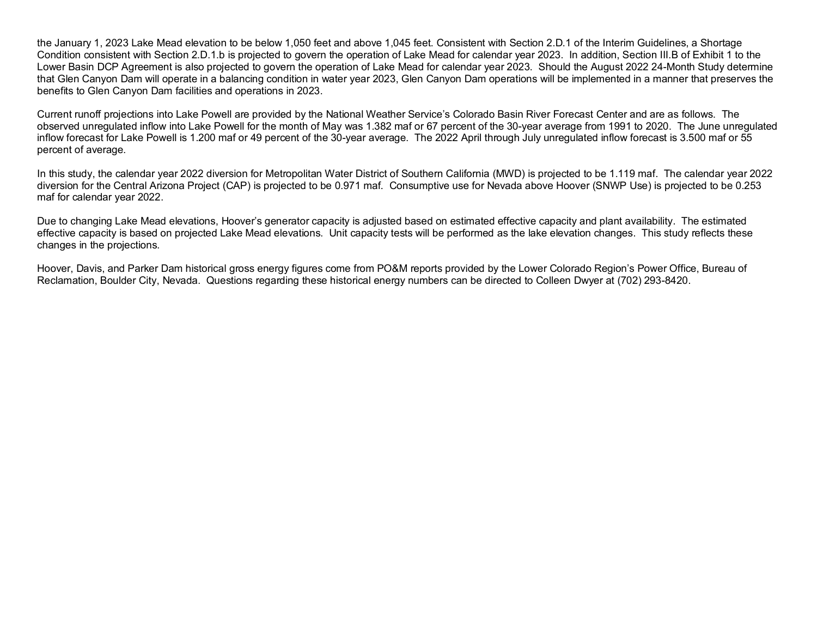the January 1, 2023 Lake Mead elevation to be below 1,050 feet and above 1,045 feet. Consistent with Section 2.D.1 of the Interim Guidelines, a Shortage Condition consistent with Section 2.D.1.b is projected to govern the operation of Lake Mead for calendar year 2023. In addition, Section III.B of Exhibit 1 to the Lower Basin DCP Agreement is also projected to govern the operation of Lake Mead for calendar year 2023. Should the August 2022 24-Month Study determine that Glen Canyon Dam will operate in a balancing condition in water year 2023, Glen Canyon Dam operations will be implemented in a manner that preserves the benefits to Glen Canyon Dam facilities and operations in 2023.

Current runoff projections into Lake Powell are provided by the National Weather Service's Colorado Basin River Forecast Center and are as follows. The observed unregulated inflow into Lake Powell for the month of May was 1.382 maf or 67 percent of the 30-year average from 1991 to 2020. The June unregulated inflow forecast for Lake Powell is 1.200 maf or 49 percent of the 30-year average. The 2022 April through July unregulated inflow forecast is 3.500 maf or 55 percent of average.

In this study, the calendar year 2022 diversion for Metropolitan Water District of Southern California (MWD) is projected to be 1.119 maf. The calendar year 2022 diversion for the Central Arizona Project (CAP) is projected to be 0.971 maf. Consumptive use for Nevada above Hoover (SNWP Use) is projected to be 0.253 maf for calendar year 2022.

Due to changing Lake Mead elevations, Hoover's generator capacity is adjusted based on estimated effective capacity and plant availability. The estimated effective capacity is based on projected Lake Mead elevations. Unit capacity tests will be performed as the lake elevation changes. This study reflects these changes in the projections.

Hoover, Davis, and Parker Dam historical gross energy figures come from PO&M reports provided by the Lower Colorado Region's Power Office, Bureau of Reclamation, Boulder City, Nevada. Questions regarding these historical energy numbers can be directed to Colleen Dwyer at (702) 293-8420.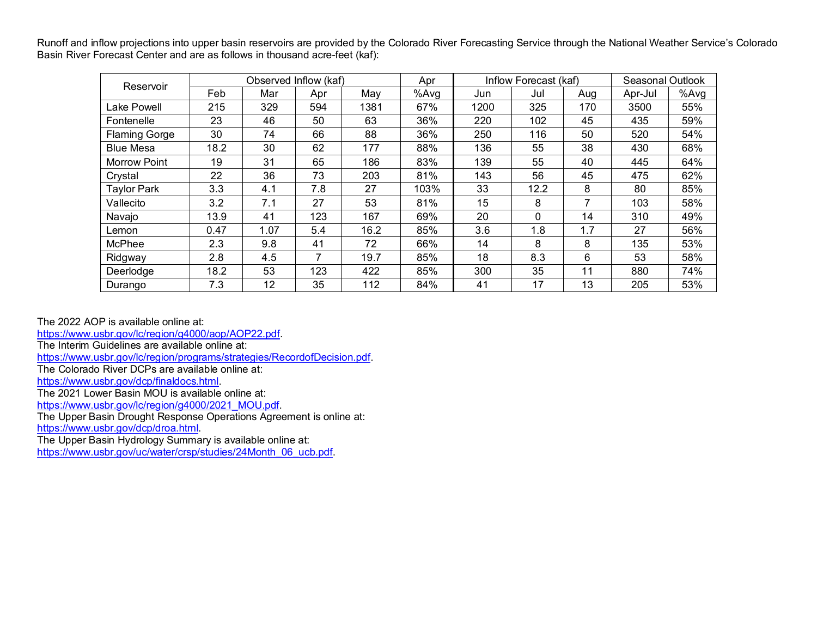Runoff and inflow projections into upper basin reservoirs are provided by the Colorado River Forecasting Service through the National Weather Service's Colorado Basin River Forecast Center and are as follows in thousand acre-feet (kaf):

| Reservoir            |      | Observed Inflow (kaf) |     |      | Apr  |      | Inflow Forecast (kaf) |     | Seasonal Outlook |      |  |
|----------------------|------|-----------------------|-----|------|------|------|-----------------------|-----|------------------|------|--|
|                      | Feb  | Mar                   | Apr | May  | %Avg | Jun  | Jul                   | Aug | Apr-Jul          | %Avg |  |
| <b>Lake Powell</b>   | 215  | 329                   | 594 | 1381 | 67%  | 1200 | 325                   | 170 | 3500             | 55%  |  |
| Fontenelle           | 23   | 46                    | 50  | 63   | 36%  | 220  | 102                   | 45  | 435              | 59%  |  |
| <b>Flaming Gorge</b> | 30   | 74                    | 66  | 88   | 36%  | 250  | 116                   | 50  | 520              | 54%  |  |
| <b>Blue Mesa</b>     | 18.2 | 30                    | 62  | 177  | 88%  | 136  | 55                    | 38  | 430              | 68%  |  |
| <b>Morrow Point</b>  | 19   | 31                    | 65  | 186  | 83%  | 139  | 55                    | 40  | 445              | 64%  |  |
| Crystal              | 22   | 36                    | 73  | 203  | 81%  | 143  | 56                    | 45  | 475              | 62%  |  |
| <b>Taylor Park</b>   | 3.3  | 4.1                   | 7.8 | 27   | 103% | 33   | 12.2                  | 8   | 80               | 85%  |  |
| Vallecito            | 3.2  | 7.1                   | 27  | 53   | 81%  | 15   | 8                     | 7   | 103              | 58%  |  |
| Navajo               | 13.9 | 41                    | 123 | 167  | 69%  | 20   | 0                     | 14  | 310              | 49%  |  |
| Lemon                | 0.47 | 1.07                  | 5.4 | 16.2 | 85%  | 3.6  | 1.8                   | 1.7 | 27               | 56%  |  |
| McPhee               | 2.3  | 9.8                   | 41  | 72   | 66%  | 14   | 8                     | 8   | 135              | 53%  |  |
| Ridgway              | 2.8  | 4.5                   | 7   | 19.7 | 85%  | 18   | 8.3                   | 6   | 53               | 58%  |  |
| Deerlodge            | 18.2 | 53                    | 123 | 422  | 85%  | 300  | 35                    | 11  | 880              | 74%  |  |
| Durango              | 7.3  | 12                    | 35  | 112  | 84%  | 41   | 17                    | 13  | 205              | 53%  |  |

The 2022 AOP is available online at:

[https://www.usbr.gov/lc/region/g4000/aop/AOP22.pdf.](https://www.usbr.gov/lc/region/g4000/aop/AOP22.pdf)

The Interim Guidelines are available online at:

[https://www.usbr.gov/lc/region/programs/strategies/RecordofDecision.pdf.](https://www.usbr.gov/lc/region/programs/strategies/RecordofDecision.pdf)

The Colorado River DCPs are available online at:

[https://www.usbr.gov/dcp/finaldocs.html.](https://www.usbr.gov/dcp/finaldocs.html)

The 2021 Lower Basin MOU is available online at:

[https://www.usbr.gov/lc/region/g4000/2021\\_MOU.pdf.](https://www.usbr.gov/lc/region/g4000/2021_MOU.pdf)

The Upper Basin Drought Response Operations Agreement is online at:

[https://www.usbr.gov/dcp/droa.html.](https://www.usbr.gov/dcp/droa.html)

The Upper Basin Hydrology Summary is available online at:

[https://www.usbr.gov/uc/water/crsp/studies/24Month\\_06\\_ucb.pdf.](https://www.usbr.gov/uc/water/crsp/studies/24Month_06_ucb.pdf)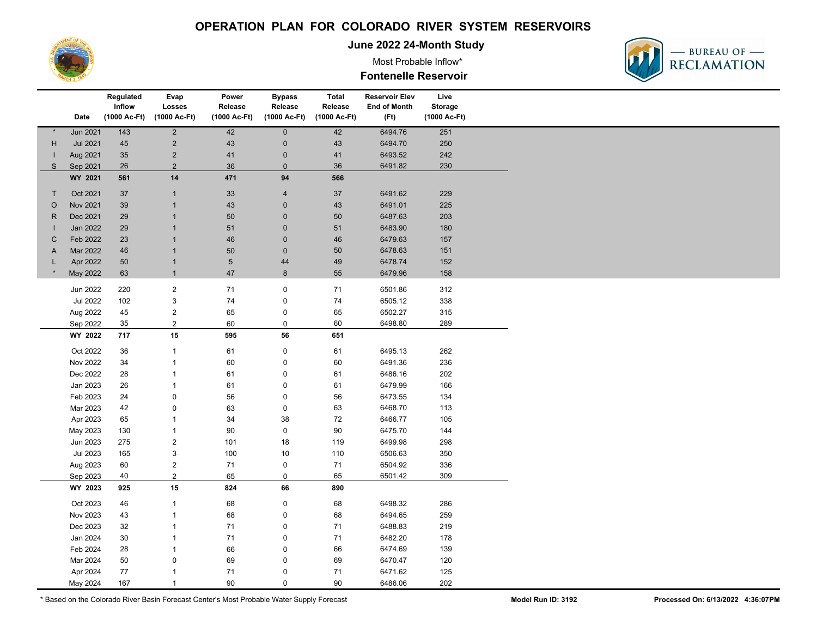

#### **June 2022 24-Month Study**

### Most Probable Inflow\*



#### **Fontenelle Reservoir**

|         | Date            | Regulated<br>Inflow<br>(1000 Ac-Ft) | Evap<br>Losses<br>(1000 Ac-Ft) | Power<br>Release<br>(1000 Ac-Ft) | <b>Bypass</b><br>Release<br>(1000 Ac-Ft) | <b>Total</b><br>Release<br>(1000 Ac-Ft) | <b>Reservoir Elev</b><br><b>End of Month</b><br>(Ft) | Live<br><b>Storage</b><br>(1000 Ac-Ft) |  |
|---------|-----------------|-------------------------------------|--------------------------------|----------------------------------|------------------------------------------|-----------------------------------------|------------------------------------------------------|----------------------------------------|--|
|         | Jun 2021        | $\overline{143}$                    | $\mathbf 2$                    | 42                               | $\mathbf 0$                              | 42                                      | 6494.76                                              | 251                                    |  |
| H       | <b>Jul 2021</b> | 45                                  | $\overline{c}$                 | 43                               | $\mathbf 0$                              | 43                                      | 6494.70                                              | 250                                    |  |
|         | Aug 2021        | 35                                  | $\overline{c}$                 | 41                               | $\pmb{0}$                                | 41                                      | 6493.52                                              | 242                                    |  |
| S       | Sep 2021        | 26                                  | $\overline{2}$                 | 36                               | $\mathbf{0}$                             | 36                                      | 6491.82                                              | 230                                    |  |
|         | WY 2021         | 561                                 | 14                             | 471                              | 94                                       | 566                                     |                                                      |                                        |  |
| T       | Oct 2021        | 37                                  | $\mathbf{1}$                   | 33                               | $\overline{4}$                           | $37\,$                                  | 6491.62                                              | 229                                    |  |
| $\circ$ | <b>Nov 2021</b> | 39                                  | $\mathbf{1}$                   | 43                               | $\mathbf 0$                              | 43                                      | 6491.01                                              | 225                                    |  |
| R       | Dec 2021        | 29                                  | $\mathbf{1}$                   | 50                               | $\mathbf 0$                              | 50                                      | 6487.63                                              | 203                                    |  |
|         | Jan 2022        | 29                                  | $\mathbf{1}$                   | 51                               | $\pmb{0}$                                | 51                                      | 6483.90                                              | 180                                    |  |
| C       | Feb 2022        | 23                                  | $\mathbf{1}$                   | 46                               | $\pmb{0}$                                | 46                                      | 6479.63                                              | 157                                    |  |
| A       | Mar 2022        | 46                                  | $\mathbf{1}$                   | 50                               | $\pmb{0}$                                | 50                                      | 6478.63                                              | 151                                    |  |
| L       | Apr 2022        | 50                                  | $\mathbf{1}$                   | $5\phantom{.0}$                  | 44                                       | 49                                      | 6478.74                                              | 152                                    |  |
|         | May 2022        | 63                                  | $\mathbf{1}$                   | 47                               | 8                                        | 55                                      | 6479.96                                              | 158                                    |  |
|         | Jun 2022        | 220                                 | $\overline{\mathbf{c}}$        | 71                               | $\pmb{0}$                                | $71$                                    | 6501.86                                              | 312                                    |  |
|         | <b>Jul 2022</b> | 102                                 | 3                              | 74                               | $\pmb{0}$                                | 74                                      | 6505.12                                              | 338                                    |  |
|         | Aug 2022        | 45                                  | $\overline{c}$                 | 65                               | $\pmb{0}$                                | 65                                      | 6502.27                                              | 315                                    |  |
|         | Sep 2022        | 35                                  | $\overline{\mathbf{c}}$        | 60                               | $\mathbf 0$                              | 60                                      | 6498.80                                              | 289                                    |  |
|         | WY 2022         | 717                                 | 15                             | 595                              | 56                                       | 651                                     |                                                      |                                        |  |
|         | Oct 2022        | 36                                  | $\mathbf{1}$                   | 61                               | $\pmb{0}$                                | 61                                      | 6495.13                                              | 262                                    |  |
|         | Nov 2022        | 34                                  | $\mathbf{1}$                   | 60                               | $\pmb{0}$                                | 60                                      | 6491.36                                              | 236                                    |  |
|         | Dec 2022        | 28                                  | $\mathbf{1}$                   | 61                               | $\pmb{0}$                                | 61                                      | 6486.16                                              | 202                                    |  |
|         | Jan 2023        | 26                                  | $\mathbf{1}$                   | 61                               | $\pmb{0}$                                | 61                                      | 6479.99                                              | 166                                    |  |
|         | Feb 2023        | 24                                  | 0                              | 56                               | $\pmb{0}$                                | 56                                      | 6473.55                                              | 134                                    |  |
|         | Mar 2023        | 42                                  | 0                              | 63                               | $\pmb{0}$                                | 63                                      | 6468.70                                              | 113                                    |  |
|         | Apr 2023        | 65                                  | $\mathbf{1}$                   | 34                               | 38                                       | 72                                      | 6466.77                                              | 105                                    |  |
|         | May 2023        | 130                                 | $\mathbf{1}$                   | 90                               | $\mathbf 0$                              | $90\,$                                  | 6475.70                                              | 144                                    |  |
|         | Jun 2023        | 275                                 | $\overline{\mathbf{c}}$        | 101                              | 18                                       | 119                                     | 6499.98                                              | 298                                    |  |
|         | <b>Jul 2023</b> | 165                                 | $\ensuremath{\mathsf{3}}$      | 100                              | 10                                       | 110                                     | 6506.63                                              | 350                                    |  |
|         | Aug 2023        | 60                                  | $\overline{\mathbf{c}}$        | 71                               | $\pmb{0}$                                | 71                                      | 6504.92                                              | 336                                    |  |
|         | Sep 2023        | 40                                  | $\overline{2}$                 | 65                               | $\mathbf 0$                              | 65                                      | 6501.42                                              | 309                                    |  |
|         | WY 2023         | 925                                 | 15                             | 824                              | 66                                       | 890                                     |                                                      |                                        |  |
|         | Oct 2023        | 46                                  | $\mathbf{1}$                   | 68                               | $\pmb{0}$                                | 68                                      | 6498.32                                              | 286                                    |  |
|         | Nov 2023        | 43                                  | $\mathbf{1}$                   | 68                               | $\pmb{0}$                                | 68                                      | 6494.65                                              | 259                                    |  |
|         | Dec 2023        | 32                                  | $\mathbf{1}$                   | 71                               | $\pmb{0}$                                | 71                                      | 6488.83                                              | 219                                    |  |
|         | Jan 2024        | 30                                  | $\mathbf{1}$                   | 71                               | $\pmb{0}$                                | 71                                      | 6482.20                                              | 178                                    |  |
|         | Feb 2024        | 28                                  | $\mathbf{1}$                   | 66                               | $\pmb{0}$                                | 66                                      | 6474.69                                              | 139                                    |  |
|         | Mar 2024        | 50                                  | 0                              | 69                               | $\pmb{0}$                                | 69                                      | 6470.47                                              | 120                                    |  |
|         | Apr 2024        | 77                                  | $\mathbf{1}$                   | 71                               | $\mathbf 0$                              | 71                                      | 6471.62                                              | 125                                    |  |
|         | May 2024        | 167                                 | $\mathbf{1}$                   | 90                               | $\Omega$                                 | 90                                      | 6486.06                                              | 202                                    |  |
|         |                 |                                     |                                |                                  |                                          |                                         |                                                      |                                        |  |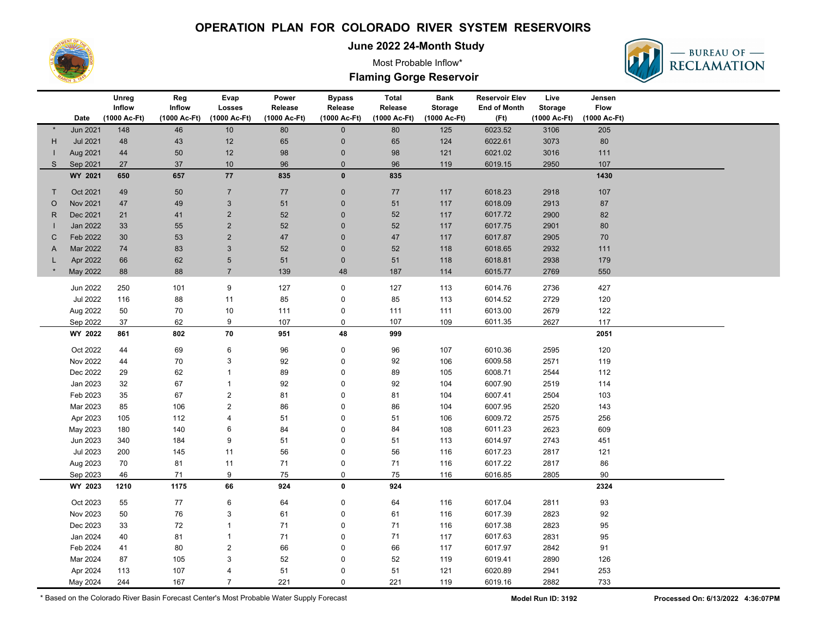

**June 2022 24-Month Study**

Most Probable Inflow\*



#### **Flaming Gorge Reservoir**

| Inflow<br>Inflow<br>Release<br><b>Flow</b><br>Losses<br>Release<br>Release<br><b>Storage</b><br><b>End of Month</b><br><b>Storage</b>                        |  |
|--------------------------------------------------------------------------------------------------------------------------------------------------------------|--|
|                                                                                                                                                              |  |
| (1000 Ac-Ft)<br>(1000 Ac-Ft)<br>Date<br>(1000 Ac-Ft)<br>(1000 Ac-Ft)<br>(1000 Ac-Ft)<br>(1000 Ac-Ft)<br>(1000 Ac-Ft)<br>(Ft)<br>(1000 Ac-Ft)<br>(1000 Ac-Ft) |  |
| <b>Jun 2021</b><br>148<br>46<br>$10$<br>80<br>$\mathbf 0$<br>80<br>125<br>6023.52<br>3106<br>205                                                             |  |
| <b>Jul 2021</b><br>12<br>65<br>6022.61<br>3073<br>80<br>H<br>48<br>43<br>65<br>$\pmb{0}$<br>124                                                              |  |
| 12<br>$98\,$<br>98<br>121<br>6021.02<br>3016<br>Aug 2021<br>50<br>$\pmb{0}$<br>111<br>44                                                                     |  |
| $10$<br>96<br>96<br>119<br>107<br>S<br>Sep 2021<br>27<br>37<br>$\mathbf{0}$<br>6019.15<br>2950                                                               |  |
| 77<br>$\mathbf{0}$<br>WY 2021<br>650<br>657<br>835<br>835<br>1430                                                                                            |  |
| Oct 2021<br>49<br>50<br>$\overline{7}$<br>77<br>$\pmb{0}$<br>77<br>117<br>6018.23<br>2918<br>107<br>$\mathsf{T}$                                             |  |
| $\mathsf 3$<br>51<br>Nov 2021<br>47<br>49<br>$51\,$<br>$\pmb{0}$<br>117<br>6018.09<br>2913<br>87<br>$\circ$                                                  |  |
| Dec 2021<br>52<br>82<br>21<br>41<br>$\overline{2}$<br>$\pmb{0}$<br>52<br>117<br>6017.72<br>2900<br>R.                                                        |  |
| $\overline{2}$<br>Jan 2022<br>33<br>55<br>52<br>52<br>117<br>6017.75<br>2901<br>80<br>$\mathbf 0$                                                            |  |
| $\overline{2}$<br>47<br>Feb 2022<br>30<br>53<br>47<br>$\mathbf{0}$<br>117<br>6017.87<br>2905<br>70<br>C                                                      |  |
| Mar 2022<br>83<br>$\mathbf{3}$<br>52<br>118<br>2932<br>74<br>$\mathbf 0$<br>52<br>6018.65<br>111<br>A                                                        |  |
| $\sqrt{5}$<br>Apr 2022<br>66<br>62<br>51<br>$\mathbf 0$<br>51<br>118<br>6018.81<br>2938<br>179                                                               |  |
| $\overline{7}$<br>88<br>187<br>6015.77<br>2769<br>May 2022<br>88<br>139<br>48<br>114<br>550                                                                  |  |
| 250<br>9<br>127<br>127<br>2736<br>427<br>Jun 2022<br>101<br>0<br>113<br>6014.76                                                                              |  |
| 11<br>6014.52                                                                                                                                                |  |
| 85<br><b>Jul 2022</b><br>116<br>88<br>85<br>113<br>2729<br>120<br>0                                                                                          |  |
| Aug 2022<br>70<br>10<br>111<br>0<br>111<br>6013.00<br>2679<br>122<br>50<br>111<br>9                                                                          |  |
| Sep 2022<br>62<br>107<br>109<br>2627<br>117<br>37<br>0<br>107<br>6011.35                                                                                     |  |
| 70<br>48<br>2051<br>WY 2022<br>861<br>802<br>951<br>999                                                                                                      |  |
| Oct 2022<br>44<br>69<br>6<br>96<br>0<br>96<br>107<br>6010.36<br>2595<br>120                                                                                  |  |
| 3<br>Nov 2022<br>70<br>92<br>0<br>92<br>106<br>6009.58<br>2571<br>119<br>44                                                                                  |  |
| Dec 2022<br>62<br>29<br>$\overline{1}$<br>89<br>0<br>89<br>105<br>6008.71<br>2544<br>112                                                                     |  |
| 67<br>Jan 2023<br>32<br>$\overline{1}$<br>92<br>0<br>92<br>104<br>6007.90<br>2519<br>114                                                                     |  |
| $\overline{c}$<br>81<br>6007.41<br>Feb 2023<br>35<br>67<br>81<br>0<br>104<br>2504<br>103                                                                     |  |
| Mar 2023<br>85<br>$\overline{c}$<br>86<br>0<br>86<br>6007.95<br>2520<br>106<br>104<br>143                                                                    |  |
| Apr 2023<br>105<br>112<br>51<br>106<br>6009.72<br>2575<br>256<br>$\overline{4}$<br>51<br>0                                                                   |  |
| 6011.23<br>180<br>140<br>6<br>84<br>0<br>84<br>108<br>2623<br>609<br>May 2023                                                                                |  |
| Jun 2023<br>$\boldsymbol{9}$<br>6014.97<br>2743<br>340<br>184<br>51<br>0<br>51<br>113<br>451                                                                 |  |
| <b>Jul 2023</b><br>11<br>56<br>0<br>56<br>116<br>6017.23<br>2817<br>121<br>200<br>145                                                                        |  |
| 11<br>71<br>6017.22<br>Aug 2023<br>81<br>71<br>0<br>116<br>2817<br>86<br>70                                                                                  |  |
| 71<br>9<br>75<br>0<br>75<br>116<br>90<br>Sep 2023<br>46<br>6016.85<br>2805                                                                                   |  |
| WY 2023<br>1175<br>924<br>924<br>2324<br>1210<br>66<br>0                                                                                                     |  |
| 77<br>$\,6\,$<br>Oct 2023<br>55<br>64<br>0<br>64<br>116<br>6017.04<br>2811<br>93                                                                             |  |
| Nov 2023<br>76<br>$\mathsf 3$<br>92<br>50<br>61<br>0<br>61<br>116<br>6017.39<br>2823                                                                         |  |
| $\mathbf{1}$<br>71<br>6017.38<br>2823<br>Dec 2023<br>33<br>72<br>71<br>0<br>116<br>95                                                                        |  |
| Jan 2024<br>81<br>$\mathbf{1}$<br>71<br>71<br>117<br>6017.63<br>2831<br>95<br>40<br>0                                                                        |  |
| Feb 2024<br>80<br>$\overline{\mathbf{c}}$<br>66<br>6017.97<br>2842<br>91<br>41<br>66<br>0<br>117                                                             |  |
| Mar 2024<br>3<br>52<br>52<br>119<br>6019.41<br>2890<br>126<br>87<br>105<br>0                                                                                 |  |
| Apr 2024<br>113<br>107<br>51<br>51<br>121<br>6020.89<br>2941<br>253<br>$\overline{4}$<br>0                                                                   |  |
| May 2024<br>$\overline{7}$<br>221<br>221<br>119<br>6019.16<br>2882<br>733<br>244<br>167<br>0                                                                 |  |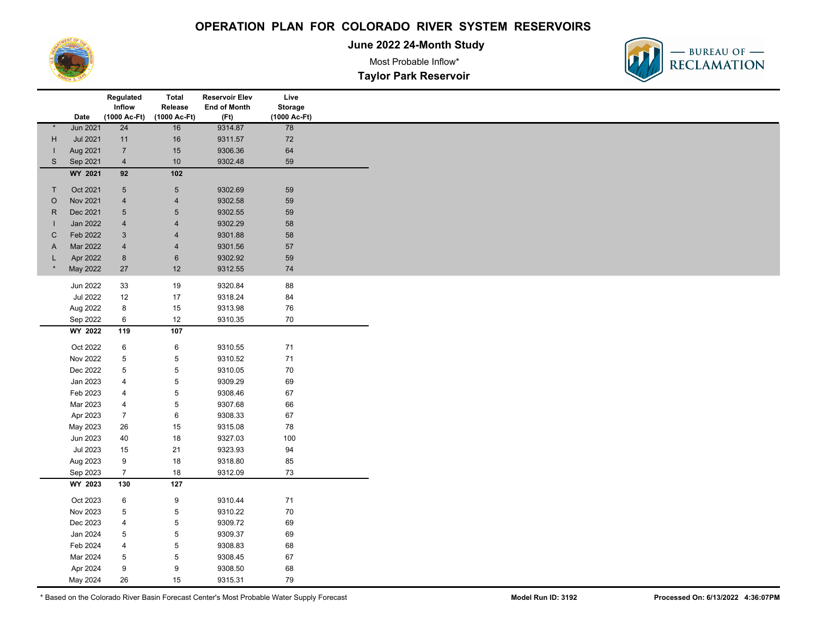

**June 2022 24-Month Study**

Most Probable Inflow\*

### **Taylor Park Reservoir**



|                |                 | Regulated<br>Inflow       | <b>Total</b><br>Release | <b>Reservoir Elev</b><br><b>End of Month</b> | Live<br><b>Storage</b> |
|----------------|-----------------|---------------------------|-------------------------|----------------------------------------------|------------------------|
|                | Date            | (1000 Ac-Ft)              | (1000 Ac-Ft)            | (Ft)                                         | (1000 Ac-Ft)           |
|                | <b>Jun 2021</b> | 24                        | 16                      | 9314.87                                      | 78                     |
| H              | <b>Jul 2021</b> | 11                        | $16\,$                  | 9311.57                                      | $72\,$                 |
| T              | Aug 2021        | $\overline{7}$            | $15$                    | 9306.36                                      | 64                     |
| $\mathsf S$    | Sep 2021        | $\overline{4}$            | $10$                    | 9302.48                                      | 59                     |
|                | WY 2021         | 92                        | $102$                   |                                              |                        |
| $\mathsf T$    | Oct 2021        | $\,$ 5 $\,$               | $\overline{5}$          | 9302.69                                      | 59                     |
| $\circ$        | Nov 2021        | $\overline{\mathbf{4}}$   | $\overline{\mathbf{4}}$ | 9302.58                                      | 59                     |
| ${\sf R}$      | Dec 2021        | $\,$ 5 $\,$               | $\,$ 5 $\,$             | 9302.55                                      | 59                     |
| т              | Jan 2022        | $\overline{4}$            | $\overline{\mathbf{4}}$ | 9302.29                                      | 58                     |
| $\mathsf{C}$   | Feb 2022        | $\ensuremath{\mathsf{3}}$ | 4                       | 9301.88                                      | 58                     |
| $\overline{A}$ | Mar 2022        | $\overline{\mathbf{4}}$   | $\overline{4}$          | 9301.56                                      | 57                     |
| L              | Apr 2022        | $\bf 8$                   | $\,6\,$                 | 9302.92                                      | 59                     |
| $\star$        | May 2022        | 27                        | $12$                    | 9312.55                                      | ${\bf 74}$             |
|                | Jun 2022        | 33                        | $19$                    | 9320.84                                      | 88                     |
|                | <b>Jul 2022</b> | $12$                      | $17\,$                  | 9318.24                                      | 84                     |
|                | Aug 2022        | 8                         | $15\,$                  | 9313.98                                      | 76                     |
|                | Sep 2022        | 6                         | 12                      | 9310.35                                      | $70\,$                 |
|                | WY 2022         | 119                       | 107                     |                                              |                        |
|                | Oct 2022        | 6                         | 6                       | 9310.55                                      | $71$                   |
|                | Nov 2022        | $\,$ 5 $\,$               | 5                       | 9310.52                                      | $71$                   |
|                | Dec 2022        | $\,$ 5 $\,$               | 5                       | 9310.05                                      | $70\,$                 |
|                | Jan 2023        | 4                         | 5                       | 9309.29                                      | 69                     |
|                | Feb 2023        | 4                         | 5                       | 9308.46                                      | 67                     |
|                | Mar 2023        | 4                         | 5                       | 9307.68                                      | 66                     |
|                | Apr 2023        | $\boldsymbol{7}$          | 6                       | 9308.33                                      | 67                     |
|                | May 2023        | $26\,$                    | $15\,$                  | 9315.08                                      | ${\bf 78}$             |
|                | Jun 2023        | $40\,$                    | $18\,$                  | 9327.03                                      | 100                    |
|                | Jul 2023        | $15\,$                    | 21                      | 9323.93                                      | 94                     |
|                | Aug 2023        | $\boldsymbol{9}$          | $18\,$                  | 9318.80                                      | 85                     |
|                | Sep 2023        | $\overline{7}$            | $18\,$                  | 9312.09                                      | $73\,$                 |
|                | WY 2023         | 130                       | $\overline{127}$        |                                              |                        |
|                | Oct 2023        | 6                         | 9                       | 9310.44                                      | 71                     |
|                | Nov 2023        | $\,$ 5 $\,$               | $\,$ 5 $\,$             | 9310.22                                      | ${\bf 70}$             |
|                | Dec 2023        | $\overline{4}$            | 5                       | 9309.72                                      | 69                     |
|                | Jan 2024        | 5                         | 5                       | 9309.37                                      | 69                     |
|                | Feb 2024        | $\overline{4}$            | 5                       | 9308.83                                      | 68                     |
|                | Mar 2024        | 5                         | 5                       | 9308.45                                      | 67                     |
|                | Apr 2024        | 9                         | 9                       | 9308.50                                      | 68                     |
|                | May 2024        | 26                        | 15                      | 9315.31                                      | 79                     |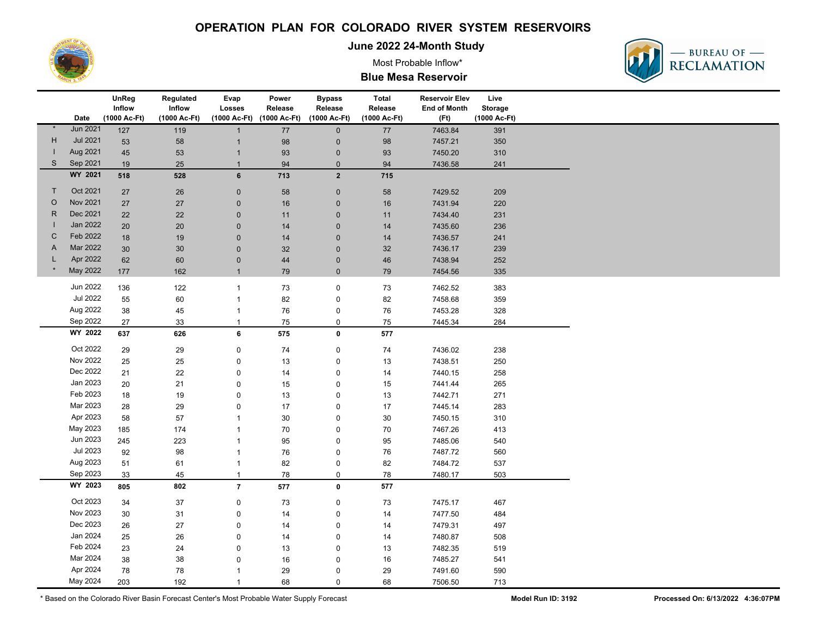

**June 2022 24-Month Study**

Most Probable Inflow\*



### **Blue Mesa Reservoir**

|         |                                    | UnReg        | Regulated    | Evap                    | Power        | <b>Bypass</b>              | <b>Total</b> | <b>Reservoir Elev</b> | Live           |  |
|---------|------------------------------------|--------------|--------------|-------------------------|--------------|----------------------------|--------------|-----------------------|----------------|--|
|         |                                    | Inflow       | Inflow       | Losses                  | Release      | Release                    | Release      | <b>End of Month</b>   | <b>Storage</b> |  |
|         | Date                               | (1000 Ac-Ft) | (1000 Ac-Ft) | (1000 Ac-Ft)            | (1000 Ac-Ft) | (1000 Ac-Ft)               | (1000 Ac-Ft) | (Ft)                  | (1000 Ac-Ft)   |  |
|         | <b>Jun 2021</b><br><b>Jul 2021</b> | 127          | 119          | $\mathbf{1}$            | 77           | $\mathbf 0$                | 77           | 7463.84               | 391            |  |
| н       | Aug 2021                           | 53           | 58           | $\mathbf{1}$            | 98           | $\pmb{0}$                  | 98           | 7457.21               | 350            |  |
| S       | Sep 2021                           | 45           | 53           | $\mathbf{1}$            | 93           | $\mathbf 0$                | 93           | 7450.20               | 310            |  |
|         | WY 2021                            | 19           | 25           | $\overline{1}$          | 94           | $\mathbf 0$                | 94           | 7436.58               | 241            |  |
|         |                                    | 518          | 528          | $6\phantom{a}$          | 713          | $\overline{2}$             | 715          |                       |                |  |
| T       | Oct 2021                           | 27           | 26           | $\pmb{0}$               | 58           | $\pmb{0}$                  | 58           | 7429.52               | 209            |  |
| $\circ$ | Nov 2021                           | 27           | 27           | $\mathbf 0$             | 16           | $\pmb{0}$                  | 16           | 7431.94               | 220            |  |
| R       | Dec 2021                           | 22           | 22           | $\pmb{0}$               | 11           | $\mathbf 0$                | 11           | 7434.40               | 231            |  |
|         | Jan 2022                           | 20           | 20           | $\mathbf 0$             | 14           | $\mathbf 0$                | 14           | 7435.60               | 236            |  |
| C       | Feb 2022                           | 18           | 19           | $\overline{0}$          | 14           | $\pmb{0}$                  | 14           | 7436.57               | 241            |  |
| A       | Mar 2022                           | 30           | 30           | $\mathbf 0$             | 32           | $\pmb{0}$                  | 32           | 7436.17               | 239            |  |
|         | Apr 2022                           | 62           | 60           | $\overline{0}$          | 44           | $\pmb{0}$                  | 46           | 7438.94               | 252            |  |
|         | May 2022                           | 177          | 162          | $\mathbf{1}$            | 79           | $\mathbf 0$                | 79           | 7454.56               | 335            |  |
|         | Jun 2022                           | 136          | 122          | $\mathbf{1}$            | 73           | $\pmb{0}$                  | 73           | 7462.52               | 383            |  |
|         | <b>Jul 2022</b>                    | 55           | 60           | $\mathbf{1}$            | 82           | $\pmb{0}$                  | 82           | 7458.68               | 359            |  |
|         | Aug 2022                           | 38           | 45           | $\mathbf{1}$            | 76           | $\pmb{0}$                  | 76           | 7453.28               | 328            |  |
|         | Sep 2022                           | 27           | 33           | $\mathbf{1}$            | 75           | $\pmb{0}$                  | 75           | 7445.34               | 284            |  |
|         | WY 2022                            | 637          | 626          | $6\phantom{a}$          | 575          | $\mathbf 0$                | 577          |                       |                |  |
|         | Oct 2022                           | 29           | 29           | 0                       | 74           | $\pmb{0}$                  | $74$         | 7436.02               | 238            |  |
|         | Nov 2022                           | 25           | 25           | $\pmb{0}$               | 13           | $\mathbf 0$                | 13           | 7438.51               | 250            |  |
|         | Dec 2022                           | 21           | 22           | $\pmb{0}$               | 14           | $\mathbf 0$                | 14           | 7440.15               | 258            |  |
|         | Jan 2023                           | 20           | 21           | $\mathbf 0$             | 15           | $\pmb{0}$                  | 15           | 7441.44               | 265            |  |
|         | Feb 2023                           | 18           | 19           | $\mathbf 0$             | 13           | $\pmb{0}$                  | 13           | 7442.71               | 271            |  |
|         | Mar 2023                           | 28           | 29           | $\pmb{0}$               | 17           | $\pmb{0}$                  | $17$         | 7445.14               | 283            |  |
|         | Apr 2023                           | 58           | 57           |                         | $30\,$       | $\mathbf 0$                | $30\,$       | 7450.15               | 310            |  |
|         | May 2023                           | 185          | 174          | $\mathbf{1}$            | 70           | $\mathbf 0$                | $70\,$       | 7467.26               | 413            |  |
|         | Jun 2023                           | 245          | 223          | $\mathbf{1}$            | 95           | $\pmb{0}$                  | 95           | 7485.06               | 540            |  |
|         | <b>Jul 2023</b>                    | 92           | 98           | $\mathbf{1}$            | 76           | $\pmb{0}$                  | 76           | 7487.72               | 560            |  |
|         | Aug 2023                           | 51           | 61           | $\mathbf{1}$            | 82           | $\pmb{0}$                  | 82           | 7484.72               | 537            |  |
|         | Sep 2023                           | 33           | 45           | $\overline{1}$          | 78           | $\mathsf 0$                | 78           | 7480.17               | 503            |  |
|         | WY 2023                            | 805          | 802          | $\overline{\mathbf{7}}$ | 577          | $\mathbf 0$                | 577          |                       |                |  |
|         | Oct 2023                           |              |              |                         |              |                            |              |                       |                |  |
|         | Nov 2023                           | 34           | 37           | $\pmb{0}$               | 73           | $\pmb{0}$                  | 73           | 7475.17               | 467            |  |
|         | Dec 2023                           | 30           | 31           | $\mathbf 0$             | 14           | $\pmb{0}$                  | 14           | 7477.50               | 484            |  |
|         | Jan 2024                           | 26           | 27           | $\pmb{0}$               | 14           | $\mathbf 0$                | 14           | 7479.31               | 497            |  |
|         | Feb 2024                           | 25           | 26           | $\Omega$                | 14           | $\mathbf 0$                | 14           | 7480.87               | 508            |  |
|         | Mar 2024                           | 23           | 24           | $\mathbf 0$             | 13           | $\mathbf 0$                | 13           | 7482.35<br>7485.27    | 519            |  |
|         | Apr 2024                           | 38           | 38           | $\mathbf 0$             | 16           | 0                          | 16           | 7491.60               | 541<br>590     |  |
|         | May 2024                           | 78           | 78           | -1<br>$\overline{1}$    | 29           | $\mathbf 0$<br>$\mathbf 0$ | 29           |                       |                |  |
|         |                                    | 203          | 192          |                         | 68           |                            | 68           | 7506.50               | 713            |  |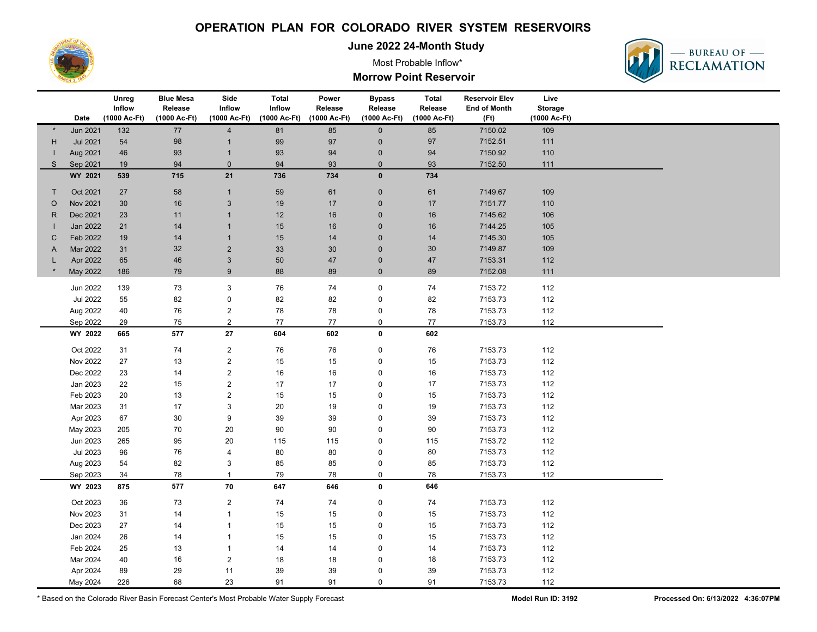

**June 2022 24-Month Study**

Most Probable Inflow\*



#### **Morrow Point Reservoir**

|              | Date            | Unreg<br>Inflow<br>(1000 Ac-Ft) | <b>Blue Mesa</b><br>Release<br>(1000 Ac-Ft) | Side<br>Inflow<br>(1000 Ac-Ft) | <b>Total</b><br>Inflow<br>(1000 Ac-Ft) | Power<br>Release<br>(1000 Ac-Ft) | <b>Bypass</b><br>Release<br>(1000 Ac-Ft) | <b>Total</b><br>Release<br>(1000 Ac-Ft) | <b>Reservoir Elev</b><br><b>End of Month</b><br>(Ft) | Live<br>Storage<br>(1000 Ac-Ft) |  |  |
|--------------|-----------------|---------------------------------|---------------------------------------------|--------------------------------|----------------------------------------|----------------------------------|------------------------------------------|-----------------------------------------|------------------------------------------------------|---------------------------------|--|--|
|              | Jun 2021        | 132                             | 77                                          | $\overline{4}$                 | 81                                     | 85                               | $\mathbf 0$                              | 85                                      | 7150.02                                              | 109                             |  |  |
| H            | Jul 2021        | 54                              | 98                                          |                                | 99                                     | $97\,$                           | $\mathbf 0$                              | 97                                      | 7152.51                                              | 111                             |  |  |
|              | Aug 2021        | 46                              | 93                                          |                                | 93                                     | 94                               | $\pmb{0}$                                | 94                                      | 7150.92                                              | 110                             |  |  |
| $\mathsf{S}$ | Sep 2021        | 19                              | 94                                          | $\mathbf 0$                    | 94                                     | 93                               | $\mathbf 0$                              | 93                                      | 7152.50                                              | 111                             |  |  |
|              | WY 2021         | 539                             | 715                                         | 21                             | 736                                    | 734                              | $\mathbf 0$                              | 734                                     |                                                      |                                 |  |  |
| T            | Oct 2021        | 27                              | 58                                          | $\overline{1}$                 | 59                                     | 61                               | $\mathbf 0$                              | 61                                      | 7149.67                                              | 109                             |  |  |
| $\circ$      | Nov 2021        | 30                              | 16                                          | 3                              | 19                                     | 17                               | $\mathbf 0$                              | 17                                      | 7151.77                                              | 110                             |  |  |
| R            | Dec 2021        | 23                              | 11                                          |                                | 12                                     | 16                               | $\mathbf 0$                              | 16                                      | 7145.62                                              | 106                             |  |  |
|              | Jan 2022        | 21                              | 14                                          | $\mathbf 1$                    | 15                                     | 16                               | $\mathbf 0$                              | 16                                      | 7144.25                                              | 105                             |  |  |
| C            | Feb 2022        | 19                              | 14                                          |                                | 15                                     | 14                               | $\overline{0}$                           | 14                                      | 7145.30                                              | 105                             |  |  |
| A            | Mar 2022        | 31                              | 32                                          | $\overline{2}$                 | 33                                     | 30                               | $\mathbf 0$                              | 30                                      | 7149.87                                              | 109                             |  |  |
|              | Apr 2022        | 65                              | 46                                          | $\mathbf{3}$                   | 50                                     | $47\,$                           | $\pmb{0}$                                | 47                                      | 7153.31                                              | 112                             |  |  |
|              | May 2022        | 186                             | 79                                          | 9                              | 88                                     | 89                               | $\mathbf{0}$                             | 89                                      | 7152.08                                              | 111                             |  |  |
|              | Jun 2022        | 139                             | 73                                          | 3                              | 76                                     | 74                               | $\mathbf 0$                              | 74                                      | 7153.72                                              | 112                             |  |  |
|              | <b>Jul 2022</b> | 55                              | 82                                          | 0                              | 82                                     | 82                               | 0                                        | 82                                      | 7153.73                                              | 112                             |  |  |
|              | Aug 2022        | 40                              | 76                                          | $\overline{2}$                 | 78                                     | 78                               | $\mathbf 0$                              | 78                                      | 7153.73                                              | 112                             |  |  |
|              | Sep 2022        | 29                              | 75                                          | $\overline{2}$                 | 77                                     | 77                               | $\mathsf 0$                              | 77                                      | 7153.73                                              | 112                             |  |  |
|              | WY 2022         | 665                             | 577                                         | ${\bf 27}$                     | 604                                    | 602                              | $\mathbf 0$                              | 602                                     |                                                      |                                 |  |  |
|              |                 |                                 |                                             |                                |                                        |                                  |                                          |                                         |                                                      |                                 |  |  |
|              | Oct 2022        | 31                              | $74\,$                                      | $\overline{2}$                 | 76                                     | 76                               | $\pmb{0}$                                | 76                                      | 7153.73                                              | 112                             |  |  |
|              | Nov 2022        | 27                              | 13                                          | $\overline{2}$                 | 15                                     | 15                               | $\pmb{0}$                                | 15                                      | 7153.73                                              | 112                             |  |  |
|              | Dec 2022        | 23                              | 14                                          | $\overline{2}$                 | 16                                     | 16                               | $\pmb{0}$                                | 16                                      | 7153.73                                              | 112                             |  |  |
|              | Jan 2023        | 22                              | 15                                          | $\overline{2}$                 | 17                                     | 17                               | $\pmb{0}$                                | 17                                      | 7153.73                                              | 112                             |  |  |
|              | Feb 2023        | 20                              | 13                                          | $\overline{2}$                 | 15                                     | 15                               | $\pmb{0}$                                | 15                                      | 7153.73                                              | 112                             |  |  |
|              | Mar 2023        | 31                              | 17                                          | 3                              | 20                                     | 19                               | $\pmb{0}$                                | 19                                      | 7153.73                                              | 112                             |  |  |
|              | Apr 2023        | 67                              | 30                                          | 9                              | 39                                     | 39                               | $\pmb{0}$                                | 39                                      | 7153.73                                              | 112                             |  |  |
|              | May 2023        | 205                             | 70                                          | 20                             | 90                                     | 90                               | $\pmb{0}$                                | 90                                      | 7153.73                                              | 112                             |  |  |
|              | Jun 2023        | 265                             | 95                                          | 20                             | 115                                    | 115                              | $\pmb{0}$                                | 115                                     | 7153.72                                              | 112                             |  |  |
|              | <b>Jul 2023</b> | 96                              | 76                                          | $\overline{\mathbf{4}}$        | 80                                     | 80                               | $\mathbf 0$                              | 80                                      | 7153.73                                              | 112                             |  |  |
|              | Aug 2023        | 54                              | 82                                          | 3                              | 85                                     | 85                               | $\mathbf 0$                              | 85                                      | 7153.73                                              | 112                             |  |  |
|              | Sep 2023        | 34                              | 78                                          | $\overline{1}$<br>70           | 79<br>647                              | 78                               | $\mathbf 0$<br>0                         | 78                                      | 7153.73                                              | 112                             |  |  |
|              | WY 2023         | 875                             | 577                                         |                                |                                        | 646                              |                                          | 646                                     |                                                      |                                 |  |  |
|              | Oct 2023        | 36                              | 73                                          | $\overline{2}$                 | 74                                     | 74                               | $\pmb{0}$                                | 74                                      | 7153.73                                              | 112                             |  |  |
|              | Nov 2023        | 31                              | 14                                          | 1                              | 15                                     | 15                               | $\pmb{0}$                                | 15                                      | 7153.73                                              | 112                             |  |  |
|              | Dec 2023        | 27                              | 14                                          | $\mathbf{1}$                   | 15                                     | 15                               | $\mathbf 0$                              | 15                                      | 7153.73                                              | 112                             |  |  |
|              | Jan 2024        | 26                              | 14                                          |                                | 15                                     | 15                               | $\pmb{0}$                                | 15                                      | 7153.73                                              | 112                             |  |  |
|              | Feb 2024        | 25                              | 13                                          | $\mathbf{1}$                   | 14                                     | 14                               | $\pmb{0}$                                | 14                                      | 7153.73                                              | 112                             |  |  |
|              | Mar 2024        | 40                              | 16                                          | 2                              | 18                                     | 18                               | $\mathbf 0$                              | 18                                      | 7153.73                                              | 112                             |  |  |
|              | Apr 2024        | 89                              | 29                                          | 11                             | 39                                     | 39                               | $\pmb{0}$                                | 39                                      | 7153.73                                              | 112                             |  |  |
|              | May 2024        | 226                             | 68                                          | 23                             | 91                                     | 91                               | $\Omega$                                 | 91                                      | 7153.73                                              | 112                             |  |  |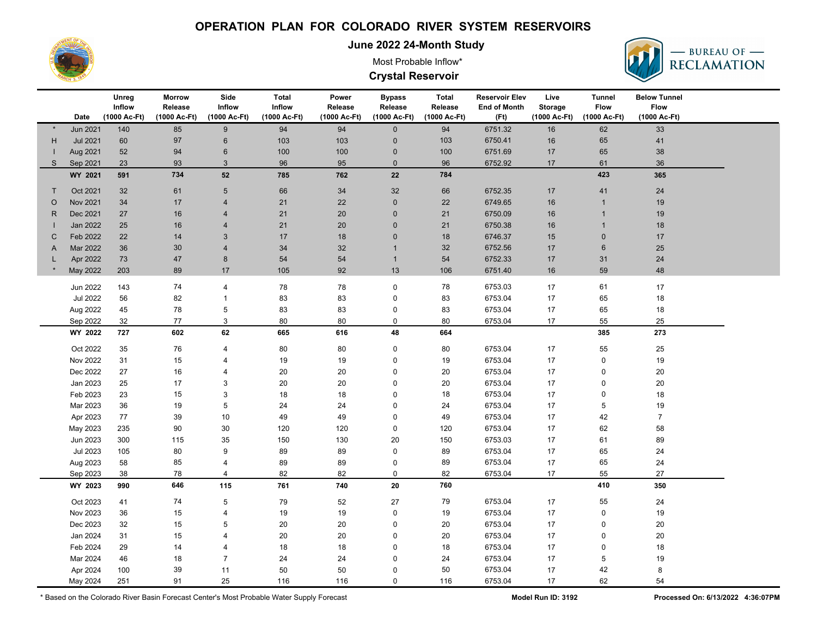

**June 2022 24-Month Study**

Most Probable Inflow\*





|              |                      | Unreg<br>Inflow | <b>Morrow</b><br>Release | Side<br>Inflow      | <b>Total</b><br>Inflow | Power<br>Release | <b>Bypass</b><br>Release | <b>Total</b><br>Release | <b>Reservoir Elev</b><br><b>End of Month</b> | Live<br><b>Storage</b> | <b>Tunnel</b><br><b>Flow</b> | <b>Below Tunnel</b><br><b>Flow</b> |  |
|--------------|----------------------|-----------------|--------------------------|---------------------|------------------------|------------------|--------------------------|-------------------------|----------------------------------------------|------------------------|------------------------------|------------------------------------|--|
|              | Date                 | (1000 Ac-Ft)    | (1000 Ac-Ft)             | (1000 Ac-Ft)        | (1000 Ac-Ft)           | (1000 Ac-Ft)     | (1000 Ac-Ft)             | (1000 Ac-Ft)            | (Ft)                                         | (1000 Ac-Ft)           | (1000 Ac-Ft)                 | (1000 Ac-Ft)                       |  |
|              | Jun 2021             | 140             | 85                       | $9$                 | 94                     | 94               | $\mathbf 0$              | 94                      | 6751.32                                      | 16                     | 62                           | 33                                 |  |
| н            | Jul 2021             | 60              | 97                       | $6\phantom{1}6$     | 103                    | 103              | $\mathbf 0$              | 103                     | 6750.41                                      | 16                     | 65                           | 41                                 |  |
|              | Aug 2021             | 52              | 94                       | $6\phantom{1}6$     | 100                    | 100              | $\mathbf 0$              | 100                     | 6751.69                                      | 17                     | 65                           | 38                                 |  |
| S            | Sep 2021             | 23              | 93                       | $\mathbf{3}$        | 96                     | 95               | $\mathbf{0}$             | 96                      | 6752.92                                      | 17                     | 61                           | 36                                 |  |
|              | WY 2021              | 591             | 734                      | 52                  | 785                    | 762              | 22                       | 784                     |                                              |                        | 423                          | 365                                |  |
| $\mathsf{T}$ | Oct 2021             | 32              | 61                       | $\overline{5}$      | 66                     | 34               | 32                       | 66                      | 6752.35                                      | 17                     | 41                           | 24                                 |  |
| $\circ$      | <b>Nov 2021</b>      | 34              | 17                       | $\overline{4}$      | 21                     | 22               | $\pmb{0}$                | 22                      | 6749.65                                      | 16                     | $\mathbf{1}$                 | 19                                 |  |
| R            | Dec 2021             | 27              | 16                       | $\overline{4}$      | 21                     | 20               | $\mathbf 0$              | 21                      | 6750.09                                      | 16                     | $\overline{1}$               | 19                                 |  |
|              | Jan 2022             | 25              | 16                       | $\overline{4}$      | 21                     | 20               | $\mathbf 0$              | 21                      | 6750.38                                      | 16                     | $\overline{1}$               | 18                                 |  |
| С            | Feb 2022             | 22              | 14                       | 3                   | 17                     | 18               | $\pmb{0}$                | 18                      | 6746.37                                      | 15                     | $\pmb{0}$                    | 17                                 |  |
| A            | Mar 2022             | 36              | 30                       | $\overline{4}$      | 34                     | 32               | $\mathbf{1}$             | 32                      | 6752.56                                      | 17                     | $\,6$                        | 25                                 |  |
| L            | Apr 2022             | 73              | 47                       | 8                   | 54                     | 54               | $\mathbf{1}$             | 54                      | 6752.33                                      | 17                     | 31                           | 24                                 |  |
|              | May 2022             | 203             | 89                       | 17                  | 105                    | 92               | 13                       | 106                     | 6751.40                                      | 16                     | 59                           | 48                                 |  |
|              | Jun 2022             | 143             | 74                       | $\overline{4}$      | 78                     | 78               | $\mathbf 0$              | 78                      | 6753.03                                      | 17                     | 61                           | 17                                 |  |
|              | <b>Jul 2022</b>      | 56              | 82                       | $\overline{1}$      | 83                     | 83               | $\pmb{0}$                | 83                      | 6753.04                                      | 17                     | 65                           | $18$                               |  |
|              | Aug 2022             | 45              | 78                       | 5                   | 83                     | 83               | 0                        | 83                      | 6753.04                                      | 17                     | 65                           | 18                                 |  |
|              | Sep 2022             | 32              | 77                       | 3                   | 80                     | 80               | $\mathbf 0$              | 80                      | 6753.04                                      | 17                     | 55                           | 25                                 |  |
|              | WY 2022              | 727             | 602                      | 62                  | 665                    | 616              | 48                       | 664                     |                                              |                        | 385                          | 273                                |  |
|              |                      |                 |                          | $\overline{4}$      |                        |                  |                          |                         |                                              |                        |                              |                                    |  |
|              | Oct 2022             | 35              | 76                       |                     | 80                     | 80               | 0                        | 80<br>19                | 6753.04<br>6753.04                           | 17                     | 55<br>$\pmb{0}$              | 25                                 |  |
|              | Nov 2022             | 31              | 15                       | $\overline{4}$      | 19                     | 19               | 0                        |                         |                                              | 17                     |                              | 19                                 |  |
|              | Dec 2022             | 27              | 16                       | $\overline{4}$<br>3 | 20                     | 20               | 0                        | 20                      | 6753.04                                      | 17                     | $\pmb{0}$                    | 20                                 |  |
|              | Jan 2023             | 25              | 17                       | 3                   | 20                     | 20               | 0                        | 20                      | 6753.04                                      | 17                     | $\mathbf 0$<br>$\mathbf 0$   | 20                                 |  |
|              | Feb 2023             | 23              | 15                       | $\,$ 5 $\,$         | 18                     | 18               | 0<br>$\mathbf 0$         | 18                      | 6753.04<br>6753.04                           | 17                     | $\sqrt{5}$                   | $18$<br>$19$                       |  |
|              | Mar 2023<br>Apr 2023 | 36              | 19                       | 10                  | 24<br>49               | 24               | 0                        | 24<br>49                | 6753.04                                      | 17                     | 42                           | $\overline{7}$                     |  |
|              |                      | 77              | 39<br>90                 |                     |                        | 49               |                          | 120                     | 6753.04                                      | 17                     | 62                           |                                    |  |
|              | May 2023<br>Jun 2023 | 235<br>300      |                          | 30<br>35            | 120<br>150             | 120<br>130       | 0                        | 150                     | 6753.03                                      | 17<br>17               | 61                           | 58<br>89                           |  |
|              | Jul 2023             |                 | 115<br>80                | 9                   | 89                     | 89               | 20<br>$\mathbf 0$        | 89                      | 6753.04                                      | 17                     | 65                           | 24                                 |  |
|              | Aug 2023             | 105<br>58       | 85                       | $\overline{4}$      | 89                     | 89               |                          | 89                      | 6753.04                                      | 17                     | 65                           | 24                                 |  |
|              | Sep 2023             | 38              | 78                       | $\overline{4}$      | 82                     | 82               | 0<br>$\mathbf 0$         | 82                      | 6753.04                                      | 17                     | 55                           | 27                                 |  |
|              | WY 2023              | 990             | 646                      | 115                 | 761                    | 740              | 20                       | 760                     |                                              |                        | 410                          | 350                                |  |
|              |                      |                 |                          |                     |                        |                  |                          |                         |                                              |                        |                              |                                    |  |
|              | Oct 2023             | 41              | 74                       | 5                   | 79                     | 52               | 27                       | 79                      | 6753.04                                      | 17                     | 55                           | 24                                 |  |
|              | Nov 2023             | 36              | 15                       | $\overline{4}$      | 19                     | 19               | $\pmb{0}$                | 19                      | 6753.04                                      | 17                     | $\pmb{0}$                    | $19$                               |  |
|              | Dec 2023             | 32              | 15                       | 5                   | 20                     | 20               | 0                        | 20                      | 6753.04                                      | 17                     | $\pmb{0}$                    | 20                                 |  |
|              | Jan 2024             | 31              | 15                       | 4                   | 20                     | 20               | 0                        | 20                      | 6753.04                                      | 17                     | $\pmb{0}$                    | 20                                 |  |
|              | Feb 2024             | 29              | 14                       | $\overline{4}$      | 18                     | 18               | 0                        | 18                      | 6753.04                                      | 17                     | $\pmb{0}$                    | 18                                 |  |
|              | Mar 2024             | 46              | 18                       | $\overline{7}$      | 24                     | 24               | $\mathbf 0$              | 24                      | 6753.04                                      | 17                     | 5                            | 19                                 |  |
|              | Apr 2024             | 100             | 39                       | 11                  | 50                     | 50               | 0                        | 50                      | 6753.04                                      | 17                     | 42                           | 8                                  |  |
|              | May 2024             | 251             | 91                       | 25                  | 116                    | 116              | 0                        | 116                     | 6753.04                                      | 17                     | 62                           | 54                                 |  |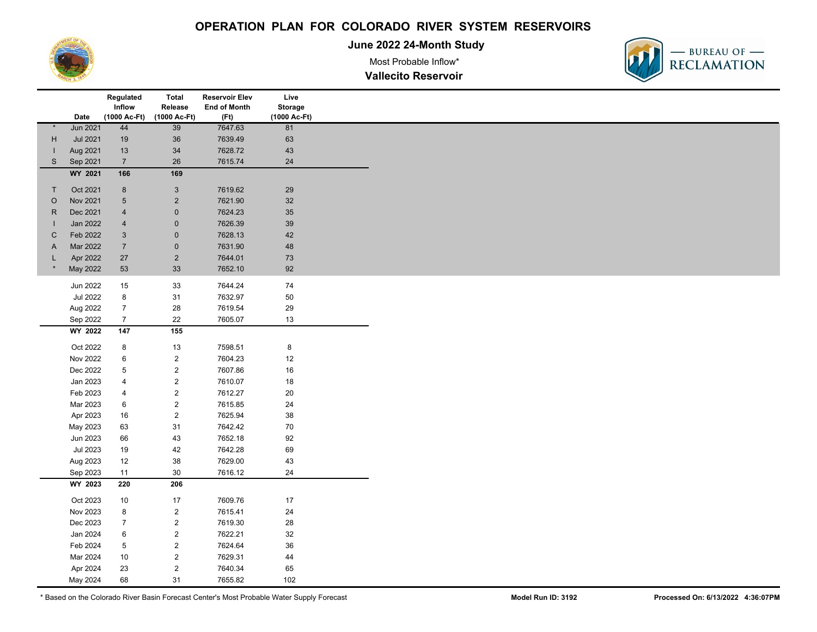

**June 2022 24-Month Study**

Most Probable Inflow\*

**Vallecito Reservoir**



|              |                     | Regulated<br>Inflow           | <b>Total</b><br>Release   | <b>Reservoir Elev</b><br><b>End of Month</b> | Live                           |
|--------------|---------------------|-------------------------------|---------------------------|----------------------------------------------|--------------------------------|
|              | Date                | (1000 Ac-Ft)                  | (1000 Ac-Ft)              | (Ft)                                         | <b>Storage</b><br>(1000 Ac-Ft) |
|              | <b>Jun 2021</b>     | 44                            | 39                        | 7647.63                                      | 81                             |
| H            | <b>Jul 2021</b>     | 19                            | $36\,$                    | 7639.49                                      | 63                             |
| $\mathbf{I}$ | Aug 2021            | 13                            | $34\,$                    | 7628.72                                      | 43                             |
| $\mathsf{s}$ | Sep 2021            | $\overline{7}$                | 26                        | 7615.74                                      | 24                             |
|              | WY 2021             | 166                           | 169                       |                                              |                                |
| $\mathsf{T}$ | Oct 2021            | $8\phantom{1}$                | $\ensuremath{\mathsf{3}}$ | 7619.62                                      | 29                             |
| $\circ$      | Nov 2021            | $\sqrt{5}$                    | $\sqrt{2}$                | 7621.90                                      | $32\,$                         |
| ${\sf R}$    | Dec 2021            | $\overline{4}$                | $\pmb{0}$                 | 7624.23                                      | 35                             |
| п            | Jan 2022            | $\overline{4}$                | $\pmb{0}$                 | 7626.39                                      | 39                             |
| $\mathsf{C}$ | Feb 2022            | $\mathbf{3}$                  | $\mathbf 0$               | 7628.13                                      | 42                             |
| A            | Mar 2022            | $\overline{7}$                | $\mathbf 0$               | 7631.90                                      | 48                             |
| L            | Apr 2022            | $27\,$                        | $\sqrt{2}$                | 7644.01                                      | $73\,$                         |
|              | May 2022            | 53                            | 33                        | 7652.10                                      | $92\,$                         |
|              | Jun 2022            | 15                            | 33                        | 7644.24                                      | 74                             |
|              | <b>Jul 2022</b>     | $\bf 8$                       | 31                        | 7632.97                                      | 50                             |
|              | Aug 2022            | $\overline{7}$                | ${\bf 28}$                | 7619.54                                      | 29                             |
|              | Sep 2022            | $\overline{7}$                | 22                        | 7605.07                                      | 13                             |
|              | WY 2022             | 147                           | 155                       |                                              |                                |
|              | Oct 2022            | 8                             | $13$                      | 7598.51                                      | $\bf 8$                        |
|              | Nov 2022            |                               | $\sqrt{2}$                | 7604.23                                      | 12                             |
|              | Dec 2022            | $\,6\,$                       | $\sqrt{2}$                | 7607.86                                      | $16\,$                         |
|              | Jan 2023            | $\,$ 5 $\,$<br>$\overline{4}$ | $\sqrt{2}$                | 7610.07                                      | 18                             |
|              |                     |                               |                           | 7612.27                                      |                                |
|              | Feb 2023            | $\overline{4}$                | $\overline{\mathbf{c}}$   |                                              | 20                             |
|              | Mar 2023            | 6                             | $\sqrt{2}$                | 7615.85                                      | 24                             |
|              | Apr 2023            | 16                            | $\sqrt{2}$                | 7625.94                                      | 38                             |
|              | May 2023            | 63                            | 31                        | 7642.42                                      | 70                             |
|              | Jun 2023            | 66                            | 43                        | 7652.18                                      | 92                             |
|              | <b>Jul 2023</b>     | 19                            | 42                        | 7642.28                                      | 69                             |
|              | Aug 2023            | 12                            | 38                        | 7629.00                                      | 43                             |
|              | Sep 2023<br>WY 2023 | 11<br>220                     | $30\,$<br>206             | 7616.12                                      | 24                             |
|              |                     |                               |                           |                                              |                                |
|              | Oct 2023            | $10$                          | $17$                      | 7609.76                                      | 17                             |
|              | Nov 2023            | 8                             | $\sqrt{2}$                | 7615.41                                      | 24                             |
|              | Dec 2023            | $\boldsymbol{7}$              | $\sqrt{2}$                | 7619.30                                      | 28                             |
|              | Jan 2024            | $\,6\,$                       | $\sqrt{2}$                | 7622.21                                      | $32\,$                         |
|              | Feb 2024            | $\,$ 5 $\,$                   | $\sqrt{2}$                | 7624.64                                      | 36                             |
|              | Mar 2024            | 10                            | $\sqrt{2}$                | 7629.31                                      | 44                             |
|              | Apr 2024            | 23                            | $\overline{\mathbf{c}}$   | 7640.34                                      | 65                             |
|              | May 2024            | 68                            | 31                        | 7655.82                                      | 102                            |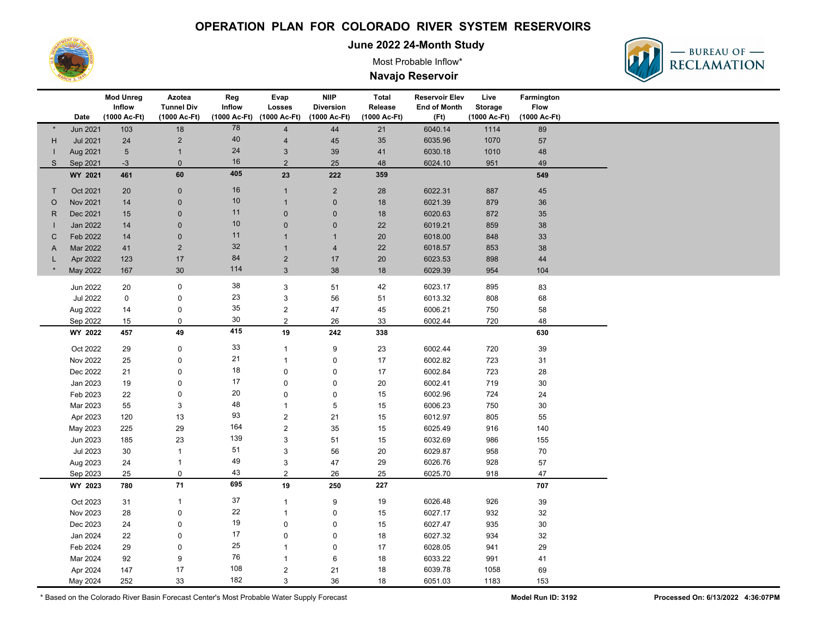

**June 2022 24-Month Study**

Most Probable Inflow\*

**Navajo Reservoir**



|              | Date                 | <b>Mod Unreg</b><br>Inflow<br>(1000 Ac-Ft) | <b>Azotea</b><br><b>Tunnel Div</b><br>(1000 Ac-Ft) | Reg<br>Inflow<br>(1000 Ac-Ft) | Evap<br>Losses<br>(1000 Ac-Ft) | <b>NIIP</b><br><b>Diversion</b><br>(1000 Ac-Ft) | <b>Total</b><br>Release<br>(1000 Ac-Ft) | <b>Reservoir Elev</b><br><b>End of Month</b><br>(Ft) | Live<br><b>Storage</b><br>(1000 Ac-Ft) | Farmington<br><b>Flow</b><br>(1000 Ac-Ft) |  |
|--------------|----------------------|--------------------------------------------|----------------------------------------------------|-------------------------------|--------------------------------|-------------------------------------------------|-----------------------------------------|------------------------------------------------------|----------------------------------------|-------------------------------------------|--|
| $\star$      | <b>Jun 2021</b>      | 103                                        | 18                                                 | 78                            | $\overline{4}$                 | 44                                              | 21                                      | 6040.14                                              | 1114                                   | 89                                        |  |
| н            | <b>Jul 2021</b>      | 24                                         | $\overline{2}$                                     | 40                            | $\overline{4}$                 | 45                                              | 35                                      | 6035.96                                              | 1070                                   | 57                                        |  |
|              | Aug 2021             | $\sqrt{5}$                                 | $\mathbf{1}$                                       | 24                            | $\sqrt{3}$                     | 39                                              | 41                                      | 6030.18                                              | 1010                                   | 48                                        |  |
| S            | Sep 2021             | $-3$                                       | $\mathbf 0$                                        | 16                            | $\overline{2}$                 | 25                                              | 48                                      | 6024.10                                              | 951                                    | 49                                        |  |
|              | WY 2021              | 461                                        | 60                                                 | 405                           | 23                             | 222                                             | 359                                     |                                                      |                                        | 549                                       |  |
|              |                      |                                            |                                                    |                               |                                |                                                 |                                         |                                                      |                                        |                                           |  |
| T            | Oct 2021             | $20\,$                                     | $\pmb{0}$                                          | $16\,$                        | $\mathbf{1}$                   | $\sqrt{2}$                                      | 28                                      | 6022.31                                              | 887                                    | 45                                        |  |
| $\circ$      | Nov 2021             | 14                                         | $\pmb{0}$                                          | $10$                          |                                | $\overline{0}$                                  | 18                                      | 6021.39                                              | 879                                    | 36                                        |  |
| R            | Dec 2021             | $15$                                       | $\pmb{0}$                                          | 11                            | $\mathbf 0$                    | $\overline{0}$                                  | 18                                      | 6020.63                                              | 872                                    | $35\,$                                    |  |
|              | <b>Jan 2022</b>      | 14                                         | $\mathbf 0$                                        | 10<br>11                      | $\overline{0}$                 | $\overline{0}$                                  | 22                                      | 6019.21                                              | 859                                    | 38                                        |  |
| С            | Feb 2022             | 14                                         | $\pmb{0}$                                          | $32\,$                        | $\mathbf 1$                    | $\mathbf{1}$                                    | 20                                      | 6018.00                                              | 848                                    | 33                                        |  |
| A            | Mar 2022             | $41$                                       | $\overline{2}$                                     | 84                            | $\mathbf 1$                    | $\sqrt{4}$                                      | 22                                      | 6018.57                                              | 853                                    | 38                                        |  |
| L<br>$\star$ | Apr 2022<br>May 2022 | 123                                        | 17<br>30                                           | 114                           | $\overline{2}$                 | 17                                              | 20                                      | 6023.53<br>6029.39                                   | 898<br>954                             | 44                                        |  |
|              |                      | 167                                        |                                                    |                               | $\mathbf{3}$                   | 38                                              | 18                                      |                                                      |                                        | 104                                       |  |
|              | Jun 2022             | $20\,$                                     | $\mathbf 0$                                        | $38\,$                        | $\sqrt{3}$                     | 51                                              | 42                                      | 6023.17                                              | 895                                    | 83                                        |  |
|              | <b>Jul 2022</b>      | $\mathsf 0$                                | $\mathbf 0$                                        | 23                            | 3                              | 56                                              | 51                                      | 6013.32                                              | 808                                    | 68                                        |  |
|              | Aug 2022             | 14                                         | $\pmb{0}$                                          | 35                            | $\sqrt{2}$                     | 47                                              | 45                                      | 6006.21                                              | 750                                    | 58                                        |  |
|              | Sep 2022             | 15                                         | $\mathsf 0$                                        | 30                            | $\sqrt{2}$                     | 26                                              | 33                                      | 6002.44                                              | 720                                    | 48                                        |  |
|              | WY 2022              | 457                                        | 49                                                 | 415                           | 19                             | 242                                             | 338                                     |                                                      |                                        | 630                                       |  |
|              | Oct 2022             | 29                                         | 0                                                  | 33                            | $\mathbf{1}$                   | 9                                               | 23                                      | 6002.44                                              | 720                                    | 39                                        |  |
|              | Nov 2022             | 25                                         | 0                                                  | $21\,$                        | $\mathbf{1}$                   | $\pmb{0}$                                       | 17                                      | 6002.82                                              | 723                                    | 31                                        |  |
|              | Dec 2022             | 21                                         | $\pmb{0}$                                          | 18                            | 0                              | $\mathbf 0$                                     | 17                                      | 6002.84                                              | 723                                    | ${\bf 28}$                                |  |
|              | Jan 2023             | 19                                         | 0                                                  | 17                            | $\mathbf 0$                    | $\pmb{0}$                                       | 20                                      | 6002.41                                              | 719                                    | $30\,$                                    |  |
|              | Feb 2023             | 22                                         | $\pmb{0}$                                          | 20                            | $\mathbf 0$                    | $\pmb{0}$                                       | 15                                      | 6002.96                                              | 724                                    | 24                                        |  |
|              | Mar 2023             | 55                                         | 3                                                  | 48                            | $\mathbf{1}$                   | $\sqrt{5}$                                      | 15                                      | 6006.23                                              | 750                                    | $30\,$                                    |  |
|              | Apr 2023             | 120                                        | 13                                                 | 93                            | $\overline{c}$                 | 21                                              | 15                                      | 6012.97                                              | 805                                    | 55                                        |  |
|              | May 2023             | 225                                        | 29                                                 | 164                           | $\sqrt{2}$                     | 35                                              | 15                                      | 6025.49                                              | 916                                    | 140                                       |  |
|              | Jun 2023             | 185                                        | 23                                                 | 139                           | $\ensuremath{\mathsf{3}}$      | 51                                              | 15                                      | 6032.69                                              | 986                                    | 155                                       |  |
|              | <b>Jul 2023</b>      | $30\,$                                     | $\overline{1}$                                     | 51                            | 3                              | 56                                              | 20                                      | 6029.87                                              | 958                                    | 70                                        |  |
|              | Aug 2023             | 24                                         | $\mathbf{1}$                                       | 49                            | 3                              | 47                                              | 29                                      | 6026.76                                              | 928                                    | 57                                        |  |
|              | Sep 2023             | 25                                         | $\mathbf 0$                                        | 43                            | $\overline{2}$                 | 26                                              | 25                                      | 6025.70                                              | 918                                    | 47                                        |  |
|              | WY 2023              | 780                                        | ${\bf 71}$                                         | 695                           | 19                             | 250                                             | 227                                     |                                                      |                                        | 707                                       |  |
|              | Oct 2023             | 31                                         | $\mathbf{1}$                                       | 37                            | $\mathbf 1$                    | 9                                               | 19                                      | 6026.48                                              | 926                                    | $39\,$                                    |  |
|              | Nov 2023             | 28                                         | $\pmb{0}$                                          | 22                            | $\overline{1}$                 | $\mathbf 0$                                     | 15                                      | 6027.17                                              | 932                                    | 32                                        |  |
|              | Dec 2023             | 24                                         | $\pmb{0}$                                          | 19                            | $\mathbf 0$                    | $\pmb{0}$                                       | 15                                      | 6027.47                                              | 935                                    | $30\,$                                    |  |
|              | Jan 2024             | 22                                         | $\pmb{0}$                                          | 17                            | $\mathbf 0$                    | $\pmb{0}$                                       | 18                                      | 6027.32                                              | 934                                    | 32                                        |  |
|              | Feb 2024             | 29                                         | $\pmb{0}$                                          | 25                            | $\mathbf 1$                    | $\pmb{0}$                                       | 17                                      | 6028.05                                              | 941                                    | 29                                        |  |
|              | Mar 2024             | 92                                         | 9                                                  | ${\bf 76}$                    | $\mathbf 1$                    | 6                                               | 18                                      | 6033.22                                              | 991                                    | $41$                                      |  |
|              | Apr 2024             | 147                                        | 17                                                 | 108                           | $\overline{\mathbf{c}}$        | 21                                              | 18                                      | 6039.78                                              | 1058                                   | 69                                        |  |
|              | May 2024             | 252                                        | 33                                                 | 182                           | 3                              | 36                                              | 18                                      | 6051.03                                              | 1183                                   | 153                                       |  |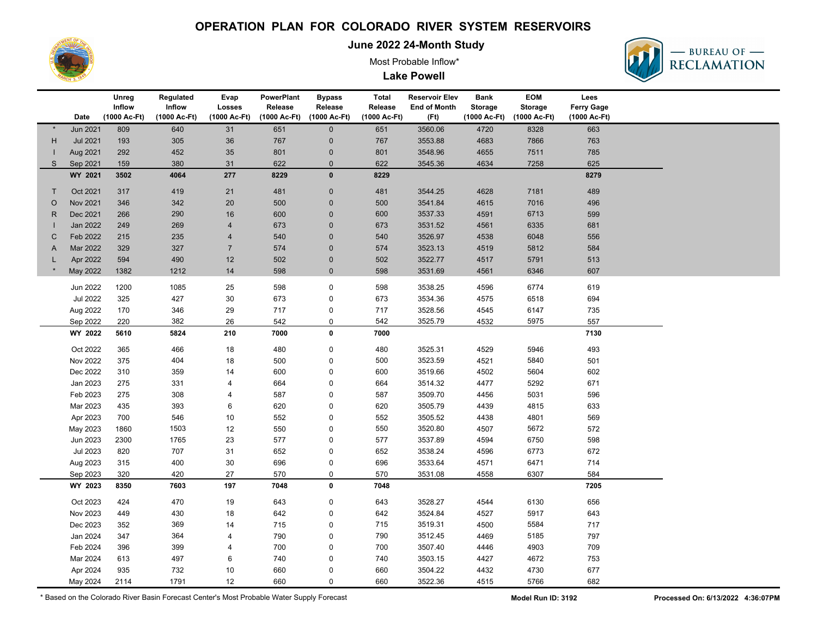

**June 2022 24-Month Study**

Most Probable Inflow\*





|              |                 | Unreg        | Regulated    | Evap           | <b>PowerPlant</b> | <b>Bypass</b>  | <b>Total</b> | <b>Reservoir Elev</b> | <b>Bank</b>    | <b>EOM</b>     | Lees              |  |
|--------------|-----------------|--------------|--------------|----------------|-------------------|----------------|--------------|-----------------------|----------------|----------------|-------------------|--|
|              |                 | Inflow       | Inflow       | Losses         | Release           | Release        | Release      | <b>End of Month</b>   | <b>Storage</b> | <b>Storage</b> | <b>Ferry Gage</b> |  |
|              | Date            | (1000 Ac-Ft) | (1000 Ac-Ft) | (1000 Ac-Ft)   | (1000 Ac-Ft)      | (1000 Ac-Ft)   | (1000 Ac-Ft) | (Ft)                  | (1000 Ac-Ft)   | (1000 Ac-Ft)   | (1000 Ac-Ft)      |  |
|              | Jun 2021        | 809          | 640          | 31             | 651               | $\mathbf 0$    | 651          | 3560.06               | 4720           | 8328           | 663               |  |
| H            | <b>Jul 2021</b> | 193          | 305          | 36             | 767               | $\pmb{0}$      | 767          | 3553.88               | 4683           | 7866           | 763               |  |
|              | Aug 2021        | 292          | 452          | 35             | 801               | $\pmb{0}$      | 801          | 3548.96               | 4655           | 7511           | 785               |  |
| $\mathsf{S}$ | Sep 2021        | 159          | 380          | 31             | 622               | $\pmb{0}$      | 622          | 3545.36               | 4634           | 7258           | 625               |  |
|              | WY 2021         | 3502         | 4064         | 277            | 8229              | $\pmb{0}$      | 8229         |                       |                |                | 8279              |  |
| $\mathsf{T}$ | Oct 2021        | 317          | 419          | 21             | 481               | 0              | 481          | 3544.25               | 4628           | 7181           | 489               |  |
| $\circ$      | <b>Nov 2021</b> | 346          | 342          | 20             | 500               | $\mathbf 0$    | 500          | 3541.84               | 4615           | 7016           | 496               |  |
| $\mathsf{R}$ | Dec 2021        | 266          | 290          | 16             | 600               | 0              | 600          | 3537.33               | 4591           | 6713           | 599               |  |
|              | Jan 2022        | 249          | 269          | $\overline{4}$ | 673               | $\mathbf 0$    | 673          | 3531.52               | 4561           | 6335           | 681               |  |
| $\mathsf{C}$ | Feb 2022        | 215          | 235          | $\overline{4}$ | 540               | $\overline{0}$ | 540          | 3526.97               | 4538           | 6048           | 556               |  |
| A            | Mar 2022        | 329          | 327          | $\overline{7}$ | 574               | $\mathbf 0$    | 574          | 3523.13               | 4519           | 5812           | 584               |  |
| L            | Apr 2022        | 594          | 490          | 12             | 502               | $\pmb{0}$      | 502          | 3522.77               | 4517           | 5791           | 513               |  |
|              | May 2022        | 1382         | 1212         | 14             | 598               | $\mathbf 0$    | 598          | 3531.69               | 4561           | 6346           | 607               |  |
|              | Jun 2022        | 1200         | 1085         | 25             | 598               | $\mathbf 0$    | 598          | 3538.25               | 4596           | 6774           | 619               |  |
|              | <b>Jul 2022</b> | 325          | 427          | 30             | 673               | 0              | 673          | 3534.36               | 4575           | 6518           | 694               |  |
|              | Aug 2022        | 170          | 346          | 29             | 717               | 0              | 717          | 3528.56               | 4545           | 6147           | 735               |  |
|              | Sep 2022        | 220          | 382          | 26             | 542               | 0              | 542          | 3525.79               | 4532           | 5975           | 557               |  |
|              | WY 2022         | 5610         | 5824         | 210            | 7000              | 0              | 7000         |                       |                |                | 7130              |  |
|              |                 |              |              |                |                   |                |              |                       |                |                |                   |  |
|              | Oct 2022        | 365          | 466          | 18             | 480               | 0              | 480          | 3525.31               | 4529           | 5946           | 493               |  |
|              | Nov 2022        | 375          | 404          | 18             | 500               | 0              | 500          | 3523.59               | 4521           | 5840           | 501               |  |
|              | Dec 2022        | 310          | 359          | 14             | 600               | 0              | 600          | 3519.66               | 4502           | 5604           | 602               |  |
|              | Jan 2023        | 275          | 331          | $\overline{4}$ | 664               | 0              | 664          | 3514.32               | 4477           | 5292           | 671               |  |
|              | Feb 2023        | 275          | 308          | $\overline{4}$ | 587               | 0              | 587          | 3509.70               | 4456           | 5031           | 596               |  |
|              | Mar 2023        | 435          | 393          | 6              | 620               | 0              | 620          | 3505.79               | 4439           | 4815           | 633               |  |
|              | Apr 2023        | 700          | 546          | 10             | 552               | 0              | 552          | 3505.52               | 4438           | 4801           | 569               |  |
|              | May 2023        | 1860         | 1503         | 12             | 550               | 0              | 550          | 3520.80               | 4507           | 5672           | 572               |  |
|              | Jun 2023        | 2300         | 1765         | 23             | 577               | 0              | 577          | 3537.89               | 4594           | 6750           | 598               |  |
|              | <b>Jul 2023</b> | 820          | 707          | 31             | 652               | 0              | 652          | 3538.24               | 4596           | 6773           | 672               |  |
|              | Aug 2023        | 315          | 400          | 30             | 696               | 0              | 696          | 3533.64               | 4571           | 6471           | 714               |  |
|              | Sep 2023        | 320          | 420          | 27             | 570               | 0              | 570          | 3531.08               | 4558           | 6307           | 584               |  |
|              | WY 2023         | 8350         | 7603         | 197            | 7048              | 0              | 7048         |                       |                |                | 7205              |  |
|              | Oct 2023        | 424          | 470          | 19             | 643               | 0              | 643          | 3528.27               | 4544           | 6130           | 656               |  |
|              | Nov 2023        | 449          | 430          | 18             | 642               | 0              | 642          | 3524.84               | 4527           | 5917           | 643               |  |
|              | Dec 2023        | 352          | 369          | 14             | 715               | 0              | 715          | 3519.31               | 4500           | 5584           | 717               |  |
|              | Jan 2024        | 347          | 364          | $\overline{4}$ | 790               | 0              | 790          | 3512.45               | 4469           | 5185           | 797               |  |
|              | Feb 2024        | 396          | 399          | $\overline{4}$ | 700               | 0              | 700          | 3507.40               | 4446           | 4903           | 709               |  |
|              | Mar 2024        | 613          | 497          | $\,6\,$        | 740               | 0              | 740          | 3503.15               | 4427           | 4672           | 753               |  |
|              | Apr 2024        | 935          | 732          | 10             | 660               | 0              | 660          | 3504.22               | 4432           | 4730           | 677               |  |
|              | May 2024        | 2114         | 1791         | 12             | 660               | 0              | 660          | 3522.36               | 4515           | 5766           | 682               |  |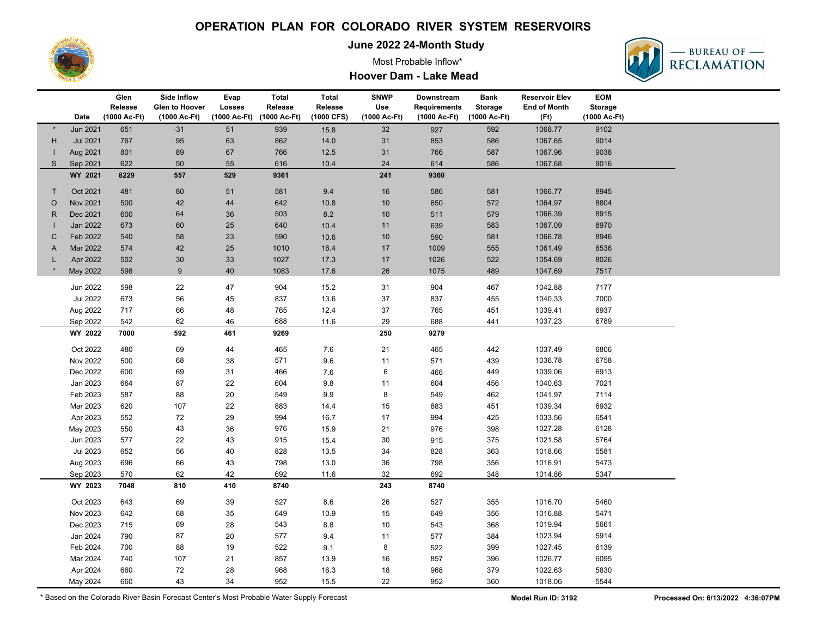

**June 2022 24-Month Study**

### Most Probable Inflow\*



### **Hoover Dam - Lake Mead**

|              |                 | Glen         | Side Inflow           | Evap         | <b>Total</b> | <b>Total</b> | <b>SNWP</b>  | Downstream          | <b>Bank</b>    | <b>Reservoir Elev</b> | <b>EOM</b>     |  |
|--------------|-----------------|--------------|-----------------------|--------------|--------------|--------------|--------------|---------------------|----------------|-----------------------|----------------|--|
|              |                 | Release      | <b>Glen to Hoover</b> | Losses       | Release      | Release      | <b>Use</b>   | <b>Requirements</b> | <b>Storage</b> | <b>End of Month</b>   | <b>Storage</b> |  |
|              | Date            | (1000 Ac-Ft) | (1000 Ac-Ft)          | (1000 Ac-Ft) | (1000 Ac-Ft) | (1000 CFS)   | (1000 Ac-Ft) | (1000 Ac-Ft)        | (1000 Ac-Ft)   | (Ft)                  | (1000 Ac-Ft)   |  |
|              | <b>Jun 2021</b> | 651          | $-31$                 | 51           | 939          | 15.8         | 32           | 927                 | 592            | 1068.77               | 9102           |  |
| H            | <b>Jul 2021</b> | 767          | 95                    | 63           | 862          | 14.0         | 31           | 853                 | 586            | 1067.65               | 9014           |  |
|              | Aug 2021        | 801          | 89                    | 67           | 766          | 12.5         | 31           | 766                 | 587            | 1067.96               | 9038           |  |
| S            | Sep 2021        | 622          | 50                    | 55           | 616          | 10.4         | 24           | 614                 | 586            | 1067.68               | 9016           |  |
|              | WY 2021         | 8229         | 557                   | 529          | 9361         |              | 241          | 9360                |                |                       |                |  |
| $\mathsf{T}$ | Oct 2021        | 481          | 80                    | 51           | 581          | 9.4          | 16           | 586                 | 581            | 1066.77               | 8945           |  |
| $\circ$      | <b>Nov 2021</b> | 500          | 42                    | 44           | 642          | 10.8         | 10           | 650                 | 572            | 1064.97               | 8804           |  |
| R.           | Dec 2021        | 600          | 64                    | 36           | 503          | 8.2          | 10           | 511                 | 579            | 1066.39               | 8915           |  |
|              | Jan 2022        | 673          | 60                    | 25           | 640          | 10.4         | 11           | 639                 | 583            | 1067.09               | 8970           |  |
| C            | Feb 2022        | 540          | 58                    | 23           | 590          | 10.6         | 10           | 590                 | 581            | 1066.78               | 8946           |  |
| A            | Mar 2022        | 574          | 42                    | 25           | 1010         | 16.4         | 17           | 1009                | 555            | 1061.49               | 8536           |  |
|              | Apr 2022        | 502          | 30                    | 33           | 1027         | 17.3         | 17           | 1026                | 522            | 1054.69               | 8026           |  |
|              | May 2022        | 598          | 9                     | 40           | 1083         | 17.6         | 26           | 1075                | 489            | 1047.69               | 7517           |  |
|              | Jun 2022        | 598          | 22                    | 47           | 904          | 15.2         | 31           | 904                 | 467            | 1042.88               | 7177           |  |
|              | <b>Jul 2022</b> | 673          | 56                    | 45           | 837          | 13.6         | 37           | 837                 | 455            | 1040.33               | 7000           |  |
|              | Aug 2022        | 717          | 66                    | 48           | 765          | 12.4         | 37           | 765                 | 451            | 1039.41               | 6937           |  |
|              | Sep 2022        | 542          | 62                    | 46           | 688          | 11.6         | 29           | 688                 | 441            | 1037.23               | 6789           |  |
|              | WY 2022         | 7000         | 592                   | 461          | 9269         |              | 250          | 9279                |                |                       |                |  |
|              |                 |              |                       |              |              |              |              |                     |                |                       |                |  |
|              | Oct 2022        | 480          | 69                    | 44           | 465          | 7.6          | 21           | 465                 | 442            | 1037.49               | 6806           |  |
|              | Nov 2022        | 500          | 68                    | 38           | 571          | $9.6\,$      | 11           | 571                 | 439            | 1036.78               | 6758           |  |
|              | Dec 2022        | 600          | 69                    | 31           | 466          | 7.6          | $\,6$        | 466                 | 449            | 1039.06               | 6913           |  |
|              | Jan 2023        | 664          | 87                    | 22           | 604          | 9.8          | 11           | 604                 | 456            | 1040.63               | 7021           |  |
|              | Feb 2023        | 587          | 88                    | 20           | 549          | 9.9          | 8            | 549                 | 462            | 1041.97               | 7114           |  |
|              | Mar 2023        | 620          | 107                   | 22           | 883          | 14.4         | 15           | 883                 | 451            | 1039.34               | 6932           |  |
|              | Apr 2023        | 552          | 72                    | 29           | 994          | 16.7         | 17           | 994                 | 425            | 1033.56               | 6541           |  |
|              | May 2023        | 550          | 43                    | 36           | 976          | 15.9         | 21           | 976                 | 398            | 1027.28               | 6128           |  |
|              | Jun 2023        | 577          | 22                    | 43           | 915          | 15.4         | 30           | 915                 | 375            | 1021.58               | 5764           |  |
|              | <b>Jul 2023</b> | 652          | 56                    | 40           | 828          | 13.5         | 34           | 828                 | 363            | 1018.66               | 5581           |  |
|              | Aug 2023        | 696          | 66                    | 43           | 798          | 13.0         | 36           | 798                 | 356            | 1016.91               | 5473           |  |
|              | Sep 2023        | 570          | 62                    | 42           | 692          | 11.6         | 32           | 692                 | 348            | 1014.86               | 5347           |  |
|              | WY 2023         | 7048         | 810                   | 410          | 8740         |              | 243          | 8740                |                |                       |                |  |
|              | Oct 2023        | 643          | 69                    | 39           | 527          | 8.6          | 26           | 527                 | 355            | 1016.70               | 5460           |  |
|              | Nov 2023        | 642          | 68                    | 35           | 649          | 10.9         | 15           | 649                 | 356            | 1016.88               | 5471           |  |
|              | Dec 2023        | 715          | 69                    | 28           | 543          | 8.8          | 10           | 543                 | 368            | 1019.94               | 5661           |  |
|              | Jan 2024        | 790          | 87                    | 20           | 577          | 9.4          | 11           | 577                 | 384            | 1023.94               | 5914           |  |
|              | Feb 2024        | 700          | 88                    | 19           | 522          | 9.1          | 8            | 522                 | 399            | 1027.45               | 6139           |  |
|              | Mar 2024        | 740          | 107                   | 21           | 857          | 13.9         | 16           | 857                 | 396            | 1026.77               | 6095           |  |
|              | Apr 2024        | 660          | $72\,$                | 28           | 968          | 16.3         | 18           | 968                 | 379            | 1022.63               | 5830           |  |
|              | May 2024        | 660          | 43                    | 34           | 952          | 15.5         | 22           | 952                 | 360            | 1018.06               | 5544           |  |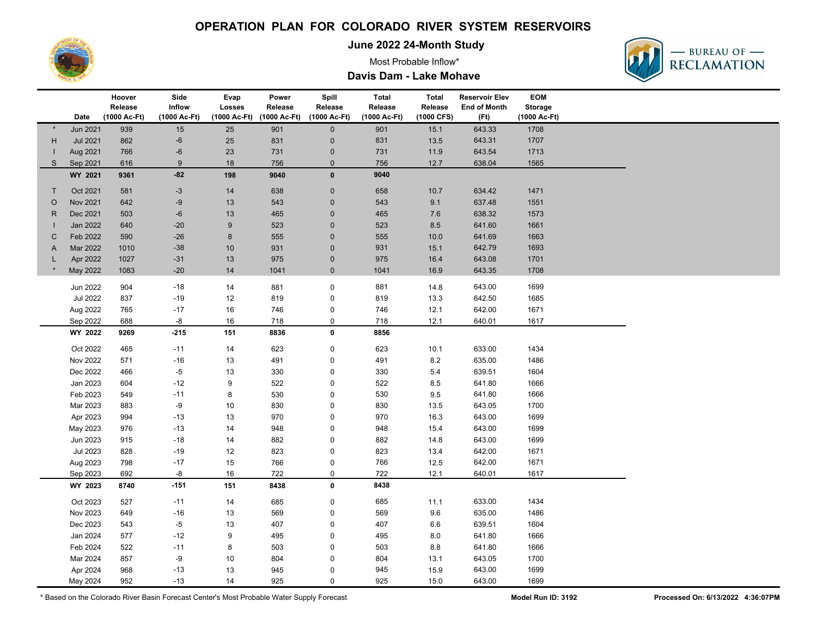

**June 2022 24-Month Study**





### **Davis Dam - Lake Mohave**

|              |                 | Hoover                  | Side                   | Evap             | Power                                | Spill                   | <b>Total</b>            | <b>Total</b>          | <b>Reservoir Elev</b>       | <b>EOM</b>                     |  |
|--------------|-----------------|-------------------------|------------------------|------------------|--------------------------------------|-------------------------|-------------------------|-----------------------|-----------------------------|--------------------------------|--|
|              | Date            | Release<br>(1000 Ac-Ft) | Inflow<br>(1000 Ac-Ft) | Losses           | Release<br>(1000 Ac-Ft) (1000 Ac-Ft) | Release<br>(1000 Ac-Ft) | Release<br>(1000 Ac-Ft) | Release<br>(1000 CFS) | <b>End of Month</b><br>(Ft) | <b>Storage</b><br>(1000 Ac-Ft) |  |
|              | <b>Jun 2021</b> | 939                     | 15                     | 25               | 901                                  | $\mathbf{0}$            | 901                     | 15.1                  | 643.33                      | 1708                           |  |
| H            | <b>Jul 2021</b> | 862                     | $-6$                   | 25               | 831                                  | $\pmb{0}$               | 831                     | 13.5                  | 643.31                      | 1707                           |  |
|              | Aug 2021        | 766                     | $-6$                   | 23               | 731                                  | $\mathbf 0$             | 731                     | 11.9                  | 643.54                      | 1713                           |  |
| S            | Sep 2021        | 616                     | $\boldsymbol{9}$       | 18               | 756                                  | $\mathbf 0$             | 756                     | 12.7                  | 638.04                      | 1565                           |  |
|              | WY 2021         | 9361                    | $-82$                  | 198              | 9040                                 | $\pmb{0}$               | 9040                    |                       |                             |                                |  |
| T            | Oct 2021        | 581                     | $-3$                   | 14               | 638                                  | $\pmb{0}$               | 658                     | 10.7                  | 634.42                      | 1471                           |  |
| $\circ$      | Nov 2021        | 642                     | $-9$                   | 13               | 543                                  | $\mathbf 0$             | 543                     | 9.1                   | 637.48                      | 1551                           |  |
| $\mathsf{R}$ | Dec 2021        | 503                     | $-6$                   | 13               | 465                                  | $\pmb{0}$               | 465                     | 7.6                   | 638.32                      | 1573                           |  |
|              | Jan 2022        | 640                     | $-20$                  | $\boldsymbol{9}$ | 523                                  | $\mathbf 0$             | 523                     | 8.5                   | 641.60                      | 1661                           |  |
| C            | Feb 2022        | 590                     | $-26$                  | $\bf 8$          | 555                                  | $\overline{0}$          | 555                     | 10.0                  | 641.69                      | 1663                           |  |
| A            | Mar 2022        | 1010                    | $-38$                  | 10               | 931                                  | $\mathbf 0$             | 931                     | 15.1                  | 642.79                      | 1693                           |  |
|              | Apr 2022        | 1027                    | $-31$                  | 13               | 975                                  | $\mathbf 0$             | 975                     | 16.4                  | 643.08                      | 1701                           |  |
|              | May 2022        | 1083                    | $-20$                  | 14               | 1041                                 | $\mathbf 0$             | 1041                    | 16.9                  | 643.35                      | 1708                           |  |
|              | Jun 2022        | 904                     | $-18$                  | 14               | 881                                  | $\mathsf{O}\xspace$     | 881                     | 14.8                  | 643.00                      | 1699                           |  |
|              | <b>Jul 2022</b> | 837                     | $-19$                  | 12               | 819                                  | 0                       | 819                     | 13.3                  | 642.50                      | 1685                           |  |
|              | Aug 2022        | 765                     | $-17$                  | 16               | 746                                  | $\pmb{0}$               | 746                     | 12.1                  | 642.00                      | 1671                           |  |
|              | Sep 2022        | 688                     | -8                     | 16               | 718                                  | $\mathbf 0$             | 718                     | 12.1                  | 640.01                      | 1617                           |  |
|              | WY 2022         | 9269                    | $-215$                 | 151              | 8836                                 | $\pmb{0}$               | 8856                    |                       |                             |                                |  |
|              | Oct 2022        | 465                     | $-11$                  | 14               | 623                                  | $\pmb{0}$               | 623                     | 10.1                  | 633.00                      | 1434                           |  |
|              | Nov 2022        | 571                     | $-16$                  | 13               | 491                                  | $\pmb{0}$               | 491                     | 8.2                   | 635.00                      | 1486                           |  |
|              | Dec 2022        | 466                     | $-5$                   | 13               | 330                                  | $\mathbf 0$             | 330                     | 5.4                   | 639.51                      | 1604                           |  |
|              | Jan 2023        | 604                     | $-12$                  | 9                | 522                                  | 0                       | 522                     | $8.5\,$               | 641.80                      | 1666                           |  |
|              | Feb 2023        | 549                     | $-11$                  | 8                | 530                                  | 0                       | 530                     | 9.5                   | 641.80                      | 1666                           |  |
|              | Mar 2023        | 883                     | -9                     | 10               | 830                                  | $\mathbf 0$             | 830                     | 13.5                  | 643.05                      | 1700                           |  |
|              | Apr 2023        | 994                     | $-13$                  | 13               | 970                                  | 0                       | 970                     | 16.3                  | 643.00                      | 1699                           |  |
|              | May 2023        | 976                     | $-13$                  | 14               | 948                                  | $\mathbf 0$             | 948                     | 15.4                  | 643.00                      | 1699                           |  |
|              | Jun 2023        | 915                     | $-18$                  | 14               | 882                                  | $\mathbf 0$             | 882                     | 14.8                  | 643.00                      | 1699                           |  |
|              | Jul 2023        | 828                     | $-19$                  | 12               | 823                                  | $\mathbf 0$             | 823                     | 13.4                  | 642.00                      | 1671                           |  |
|              | Aug 2023        | 798                     | $-17$                  | 15               | 766                                  | $\pmb{0}$               | 766                     | 12.5                  | 642.00                      | 1671                           |  |
|              | Sep 2023        | 692                     | -8                     | 16               | 722                                  | $\mathbf 0$             | 722                     | 12.1                  | 640.01                      | 1617                           |  |
|              | WY 2023         | 8740                    | $-151$                 | 151              | 8438                                 | $\pmb{0}$               | 8438                    |                       |                             |                                |  |
|              | Oct 2023        | 527                     | $-11$                  | 14               | 685                                  | $\pmb{0}$               | 685                     | 11.1                  | 633.00                      | 1434                           |  |
|              | Nov 2023        | 649                     | $-16$                  | 13               | 569                                  | $\pmb{0}$               | 569                     | 9.6                   | 635.00                      | 1486                           |  |
|              | Dec 2023        | 543                     | $-5$                   | 13               | 407                                  | $\mathbf 0$             | 407                     | 6.6                   | 639.51                      | 1604                           |  |
|              | Jan 2024        | 577                     | $-12$                  | 9                | 495                                  | 0                       | 495                     | 8.0                   | 641.80                      | 1666                           |  |
|              | Feb 2024        | 522                     | $-11$                  | 8                | 503                                  | $\mathbf 0$             | 503                     | 8.8                   | 641.80                      | 1666                           |  |
|              | Mar 2024        | 857                     | -9                     | 10               | 804                                  | $\mathbf 0$             | 804                     | 13.1                  | 643.05                      | 1700                           |  |
|              | Apr 2024        | 968                     | $-13$                  | 13               | 945                                  | 0                       | 945                     | 15.9                  | 643.00                      | 1699                           |  |
|              | May 2024        | 952                     | $-13$                  | 14               | 925                                  | $\mathbf 0$             | 925                     | 15.0                  | 643.00                      | 1699                           |  |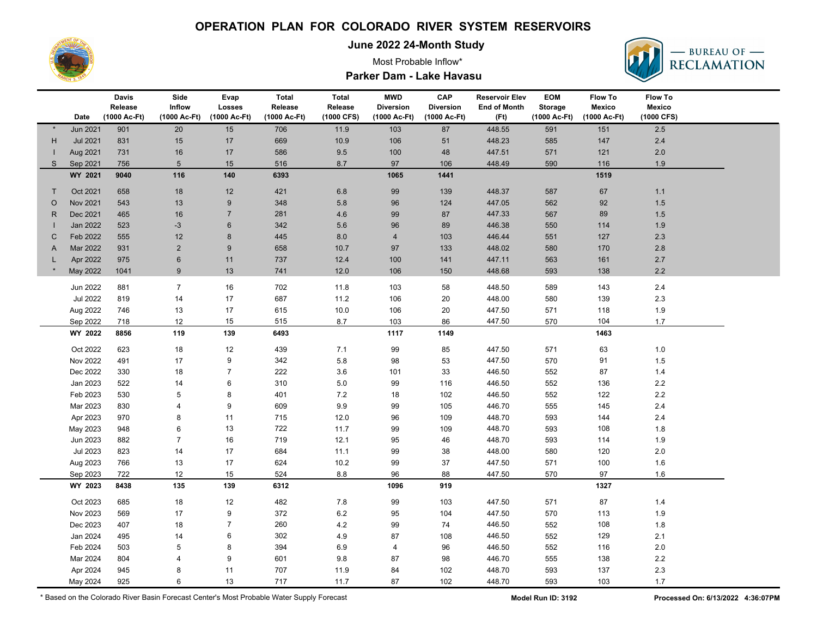

**June 2022 24-Month Study**

### Most Probable Inflow\*



#### **Parker Dam - Lake Havasu**

|         | Date            | <b>Davis</b><br>Release<br>(1000 Ac-Ft) | Side<br>Inflow<br>(1000 Ac-Ft) | Evap<br><b>Losses</b><br>(1000 Ac-Ft) | Total<br>Release<br>(1000 Ac-Ft) | <b>Total</b><br>Release<br>(1000 CFS) | <b>MWD</b><br><b>Diversion</b><br>(1000 Ac-Ft) | CAP<br><b>Diversion</b><br>(1000 Ac-Ft) | <b>Reservoir Elev</b><br><b>End of Month</b><br>(Ft) | <b>EOM</b><br><b>Storage</b><br>(1000 Ac-Ft) | <b>Flow To</b><br><b>Mexico</b><br>(1000 Ac-Ft) | <b>Flow To</b><br>Mexico<br>(1000 CFS) |  |
|---------|-----------------|-----------------------------------------|--------------------------------|---------------------------------------|----------------------------------|---------------------------------------|------------------------------------------------|-----------------------------------------|------------------------------------------------------|----------------------------------------------|-------------------------------------------------|----------------------------------------|--|
|         | <b>Jun 2021</b> | 901                                     | 20                             | 15                                    | 706                              | 11.9                                  | 103                                            | 87                                      | 448.55                                               | 591                                          | 151                                             | 2.5                                    |  |
| H       | <b>Jul 2021</b> | 831                                     | 15                             | 17                                    | 669                              | 10.9                                  | 106                                            | 51                                      | 448.23                                               | 585                                          | 147                                             | 2.4                                    |  |
|         | Aug 2021        | 731                                     | 16                             | 17                                    | 586                              | $9.5\,$                               | 100                                            | 48                                      | 447.51                                               | 571                                          | 121                                             | 2.0                                    |  |
| S       | Sep 2021        | 756                                     | $5\phantom{.0}$                | 15                                    | 516                              | 8.7                                   | 97                                             | 106                                     | 448.49                                               | 590                                          | 116                                             | 1.9                                    |  |
|         | WY 2021         | 9040                                    | 116                            | 140                                   | 6393                             |                                       | 1065                                           | 1441                                    |                                                      |                                              | 1519                                            |                                        |  |
| T       | Oct 2021        | 658                                     | 18                             | 12                                    | 421                              | $6.8\,$                               | 99                                             | 139                                     | 448.37                                               | 587                                          | 67                                              | 1.1                                    |  |
| $\circ$ | <b>Nov 2021</b> | 543                                     | 13                             | $9\,$                                 | 348                              | 5.8                                   | 96                                             | 124                                     | 447.05                                               | 562                                          | 92                                              | 1.5                                    |  |
| R       | Dec 2021        | 465                                     | 16                             | $\overline{7}$                        | 281                              | 4.6                                   | 99                                             | 87                                      | 447.33                                               | 567                                          | 89                                              | 1.5                                    |  |
|         | Jan 2022        | 523                                     | $-3$                           | $\,6\,$                               | 342                              | 5.6                                   | 96                                             | 89                                      | 446.38                                               | 550                                          | 114                                             | 1.9                                    |  |
| С       | Feb 2022        | 555                                     | 12                             | 8                                     | 445                              | 8.0                                   | $\overline{4}$                                 | 103                                     | 446.44                                               | 551                                          | 127                                             | 2.3                                    |  |
| A       | Mar 2022        | 931                                     | $\overline{2}$                 | 9                                     | 658                              | 10.7                                  | 97                                             | 133                                     | 448.02                                               | 580                                          | 170                                             | $2.8$                                  |  |
|         | Apr 2022        | 975                                     | 6                              | 11                                    | 737                              | 12.4                                  | 100                                            | 141                                     | 447.11                                               | 563                                          | 161                                             | 2.7                                    |  |
|         | May 2022        | 1041                                    | $\boldsymbol{9}$               | 13                                    | 741                              | 12.0                                  | 106                                            | 150                                     | 448.68                                               | 593                                          | 138                                             | 2.2                                    |  |
|         | Jun 2022        | 881                                     | $\overline{7}$                 | $16\,$                                | 702                              | 11.8                                  | 103                                            | 58                                      | 448.50                                               | 589                                          | 143                                             | $2.4\,$                                |  |
|         | <b>Jul 2022</b> | 819                                     | 14                             | 17                                    | 687                              | 11.2                                  | 106                                            | 20                                      | 448.00                                               | 580                                          | 139                                             | 2.3                                    |  |
|         | Aug 2022        | 746                                     | 13                             | 17                                    | 615                              | 10.0                                  | 106                                            | 20                                      | 447.50                                               | 571                                          | 118                                             | 1.9                                    |  |
|         | Sep 2022        | 718                                     | 12                             | 15                                    | 515                              | 8.7                                   | 103                                            | 86                                      | 447.50                                               | 570                                          | 104                                             | 1.7                                    |  |
|         | WY 2022         | 8856                                    | 119                            | 139                                   | 6493                             |                                       | 1117                                           | 1149                                    |                                                      |                                              | 1463                                            |                                        |  |
|         | Oct 2022        | 623                                     | 18                             | 12                                    | 439                              | $7.1$                                 | 99                                             | 85                                      | 447.50                                               | 571                                          | 63                                              | $1.0$                                  |  |
|         | Nov 2022        | 491                                     | 17                             | $\boldsymbol{9}$                      | 342                              | 5.8                                   | 98                                             | 53                                      | 447.50                                               | 570                                          | 91                                              | 1.5                                    |  |
|         | Dec 2022        | 330                                     | 18                             | $\overline{7}$                        | 222                              | 3.6                                   | 101                                            | 33                                      | 446.50                                               | 552                                          | 87                                              | $1.4$                                  |  |
|         | Jan 2023        | 522                                     | 14                             | 6                                     | 310                              | 5.0                                   | 99                                             | 116                                     | 446.50                                               | 552                                          | 136                                             | $2.2\,$                                |  |
|         | Feb 2023        | 530                                     | 5                              | 8                                     | 401                              | 7.2                                   | 18                                             | 102                                     | 446.50                                               | 552                                          | 122                                             | $2.2\,$                                |  |
|         | Mar 2023        | 830                                     | $\overline{4}$                 | 9                                     | 609                              | 9.9                                   | 99                                             | 105                                     | 446.70                                               | 555                                          | 145                                             | 2.4                                    |  |
|         | Apr 2023        | 970                                     | 8                              | 11                                    | 715                              | 12.0                                  | 96                                             | 109                                     | 448.70                                               | 593                                          | 144                                             | 2.4                                    |  |
|         | May 2023        | 948                                     | $\,6\,$                        | $13$                                  | 722                              | 11.7                                  | 99                                             | 109                                     | 448.70                                               | 593                                          | 108                                             | 1.8                                    |  |
|         | Jun 2023        | 882                                     | $\overline{7}$                 | 16                                    | 719                              | 12.1                                  | 95                                             | 46                                      | 448.70                                               | 593                                          | 114                                             | 1.9                                    |  |
|         | <b>Jul 2023</b> | 823                                     | 14                             | 17                                    | 684                              | 11.1                                  | 99                                             | 38                                      | 448.00                                               | 580                                          | 120                                             | $2.0\,$                                |  |
|         | Aug 2023        | 766                                     | 13                             | 17                                    | 624                              | 10.2                                  | 99                                             | 37                                      | 447.50                                               | 571                                          | 100                                             | 1.6                                    |  |
|         | Sep 2023        | 722                                     | 12                             | 15                                    | 524                              | 8.8                                   | 96                                             | 88                                      | 447.50                                               | 570                                          | 97                                              | 1.6                                    |  |
|         | WY 2023         | 8438                                    | 135                            | 139                                   | 6312                             |                                       | 1096                                           | 919                                     |                                                      |                                              | 1327                                            |                                        |  |
|         | Oct 2023        | 685                                     | 18                             | 12                                    | 482                              | 7.8                                   | 99                                             | 103                                     | 447.50                                               | 571                                          | 87                                              | 1.4                                    |  |
|         | Nov 2023        | 569                                     | 17                             | $\boldsymbol{9}$                      | 372                              | $6.2\,$                               | 95                                             | 104                                     | 447.50                                               | 570                                          | 113                                             | 1.9                                    |  |
|         | Dec 2023        | 407                                     | 18                             | $\overline{7}$                        | 260                              | $4.2\,$                               | 99                                             | 74                                      | 446.50                                               | 552                                          | 108                                             | 1.8                                    |  |
|         | Jan 2024        | 495                                     | 14                             | 6                                     | 302                              | 4.9                                   | 87                                             | 108                                     | 446.50                                               | 552                                          | 129                                             | 2.1                                    |  |
|         | Feb 2024        | 503                                     | 5                              | 8                                     | 394                              | 6.9                                   | 4                                              | 96                                      | 446.50                                               | 552                                          | 116                                             | $2.0\,$                                |  |
|         | Mar 2024        | 804                                     | $\overline{4}$                 | 9                                     | 601                              | 9.8                                   | 87                                             | 98                                      | 446.70                                               | 555                                          | 138                                             | $2.2\,$                                |  |
|         | Apr 2024        | 945                                     | 8                              | 11                                    | 707                              | 11.9                                  | 84                                             | 102                                     | 448.70                                               | 593                                          | 137                                             | 2.3                                    |  |
|         | May 2024        | 925                                     | $\,6\,$                        | 13                                    | 717                              | 11.7                                  | 87                                             | 102                                     | 448.70                                               | 593                                          | 103                                             | 1.7                                    |  |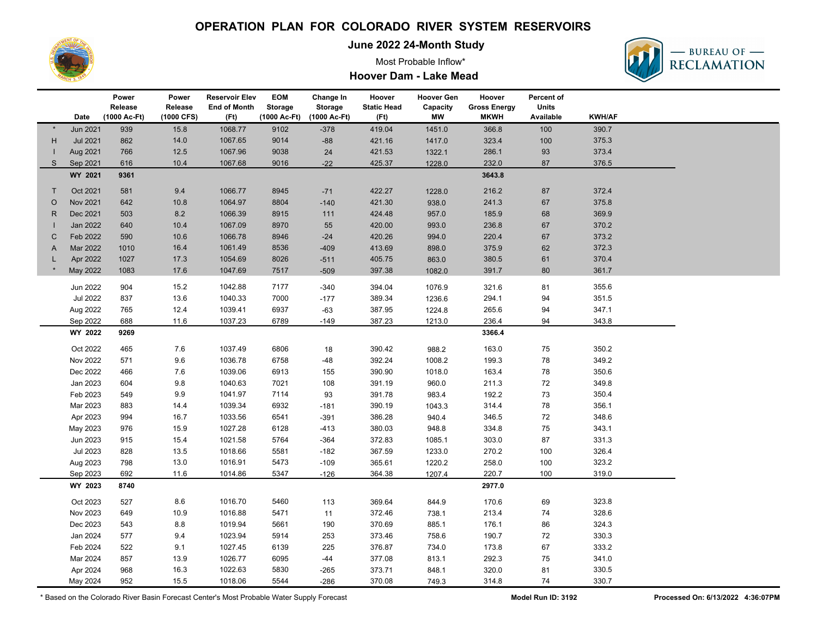

**June 2022 24-Month Study**

# Most Probable Inflow\*



#### **Hoover Dam - Lake Mead**

|              |                      | Power        | Power        | <b>Reservoir Elev</b> | <b>EOM</b>   | Change In        | Hoover             | <b>Hoover Gen</b> | Hoover              | Percent of   |                |  |
|--------------|----------------------|--------------|--------------|-----------------------|--------------|------------------|--------------------|-------------------|---------------------|--------------|----------------|--|
|              |                      | Release      | Release      | <b>End of Month</b>   | Storage      | Storage          | <b>Static Head</b> | Capacity          | <b>Gross Energy</b> | <b>Units</b> |                |  |
|              | Date                 | (1000 Ac-Ft) | (1000 CFS)   | (Ft)                  | (1000 Ac-Ft) | (1000 Ac-Ft)     | (Ft)               | МW                | <b>MKWH</b>         | Available    | <b>KWH/AF</b>  |  |
|              | Jun 2021             | 939          | 15.8         | 1068.77               | 9102         | $-378$           | 419.04             | 1451.0            | 366.8               | 100          | 390.7          |  |
| H            | <b>Jul 2021</b>      | 862          | 14.0         | 1067.65               | 9014         | $-88$            | 421.16             | 1417.0            | 323.4               | $100\,$      | 375.3          |  |
| S            | Aug 2021             | 766          | 12.5         | 1067.96               | 9038         | 24               | 421.53             | 1322.1            | 286.1               | 93           | 373.4          |  |
|              | Sep 2021             | 616          | 10.4         | 1067.68               | 9016         | $-22$            | 425.37             | 1228.0            | 232.0               | 87           | 376.5          |  |
|              | WY 2021              | 9361         |              |                       |              |                  |                    |                   | 3643.8              |              |                |  |
| $\mathsf{T}$ | Oct 2021             | 581          | 9.4          | 1066.77               | 8945         | $-71$            | 422.27             | 1228.0            | 216.2               | 87           | 372.4          |  |
| $\circ$      | Nov 2021             | 642          | 10.8         | 1064.97               | 8804         | $-140$           | 421.30             | 938.0             | 241.3               | 67           | 375.8          |  |
| $\mathsf{R}$ | Dec 2021             | 503          | 8.2          | 1066.39               | 8915         | 111              | 424.48             | 957.0             | 185.9               | 68           | 369.9          |  |
|              | Jan 2022             | 640          | 10.4         | 1067.09               | 8970         | 55               | 420.00             | 993.0             | 236.8               | 67           | 370.2          |  |
| C            | Feb 2022             | 590          | 10.6         | 1066.78               | 8946         | $-24$            | 420.26             | 994.0             | 220.4               | 67           | 373.2          |  |
| A            | Mar 2022             | 1010         | 16.4         | 1061.49               | 8536         | $-409$           | 413.69             | 898.0             | 375.9               | 62           | 372.3          |  |
|              | Apr 2022             | 1027         | 17.3         | 1054.69               | 8026         | $-511$           | 405.75             | 863.0             | 380.5               | 61           | 370.4          |  |
|              | May 2022             | 1083         | 17.6         | 1047.69               | 7517         | $-509$           | 397.38             | 1082.0            | 391.7               | 80           | 361.7          |  |
|              | Jun 2022             | 904          | 15.2         | 1042.88               | 7177         | $-340$           | 394.04             | 1076.9            | 321.6               | 81           | 355.6          |  |
|              | <b>Jul 2022</b>      | 837          | 13.6         | 1040.33               | 7000         | $-177$           | 389.34             | 1236.6            | 294.1               | 94           | 351.5          |  |
|              | Aug 2022             | 765          | 12.4         | 1039.41               | 6937         | $-63$            | 387.95             | 1224.8            | 265.6               | 94           | 347.1          |  |
|              | Sep 2022             | 688          | 11.6         | 1037.23               | 6789         | $-149$           | 387.23             | 1213.0            | 236.4               | 94           | 343.8          |  |
|              | WY 2022              | 9269         |              |                       |              |                  |                    |                   | 3366.4              |              |                |  |
|              |                      |              |              |                       |              |                  |                    |                   |                     |              |                |  |
|              | Oct 2022             | 465          | 7.6          | 1037.49               | 6806         | 18               | 390.42             | 988.2             | 163.0               | 75           | 350.2          |  |
|              | Nov 2022             | 571          | 9.6          | 1036.78               | 6758         | -48              | 392.24             | 1008.2            | 199.3               | 78           | 349.2          |  |
|              | Dec 2022             | 466<br>604   | 7.6          | 1039.06<br>1040.63    | 6913         | 155              | 390.90             | 1018.0            | 163.4               | 78           | 350.6<br>349.8 |  |
|              | Jan 2023             |              | 9.8<br>9.9   | 1041.97               | 7021<br>7114 | 108              | 391.19             | 960.0             | 211.3<br>192.2      | 72           | 350.4          |  |
|              | Feb 2023             | 549          |              |                       |              | 93               | 391.78             | 983.4             |                     | 73           | 356.1          |  |
|              | Mar 2023             | 883          | 14.4         | 1039.34               | 6932         | $-181$           | 390.19             | 1043.3            | 314.4               | 78           | 348.6          |  |
|              | Apr 2023             | 994          | 16.7         | 1033.56<br>1027.28    | 6541<br>6128 | $-391$           | 386.28             | 940.4             | 346.5               | 72           |                |  |
|              | May 2023<br>Jun 2023 | 976          | 15.9<br>15.4 | 1021.58               | 5764         | $-413$           | 380.03<br>372.83   | 948.8<br>1085.1   | 334.8<br>303.0      | 75<br>87     | 343.1<br>331.3 |  |
|              | <b>Jul 2023</b>      | 915<br>828   | 13.5         | 1018.66               | 5581         | $-364$           | 367.59             |                   | 270.2               | 100          | 326.4          |  |
|              |                      |              | 13.0         | 1016.91               | 5473         | $-182$<br>$-109$ |                    | 1233.0<br>1220.2  |                     |              | 323.2          |  |
|              | Aug 2023<br>Sep 2023 | 798<br>692   | 11.6         | 1014.86               | 5347         | $-126$           | 365.61<br>364.38   | 1207.4            | 258.0<br>220.7      | 100<br>100   | 319.0          |  |
|              | WY 2023              | 8740         |              |                       |              |                  |                    |                   | 2977.0              |              |                |  |
|              |                      |              |              |                       |              |                  |                    |                   |                     |              |                |  |
|              | Oct 2023             | 527          | 8.6          | 1016.70               | 5460         | 113              | 369.64             | 844.9             | 170.6               | 69           | 323.8          |  |
|              | Nov 2023             | 649          | 10.9         | 1016.88               | 5471         | 11               | 372.46             | 738.1             | 213.4               | 74           | 328.6          |  |
|              | Dec 2023             | 543          | 8.8          | 1019.94               | 5661         | 190              | 370.69             | 885.1             | 176.1               | 86           | 324.3          |  |
|              | Jan 2024             | 577          | 9.4          | 1023.94               | 5914         | 253              | 373.46             | 758.6             | 190.7               | 72           | 330.3          |  |
|              | Feb 2024             | 522          | 9.1          | 1027.45               | 6139         | 225              | 376.87             | 734.0             | 173.8               | 67           | 333.2          |  |
|              | Mar 2024             | 857          | 13.9         | 1026.77               | 6095         | $-44$            | 377.08             | 813.1             | 292.3               | 75           | 341.0          |  |
|              | Apr 2024             | 968          | 16.3         | 1022.63               | 5830         | $-265$           | 373.71             | 848.1             | 320.0               | 81           | 330.5          |  |
|              | May 2024             | 952          | 15.5         | 1018.06               | 5544         | $-286$           | 370.08             | 749.3             | 314.8               | 74           | 330.7          |  |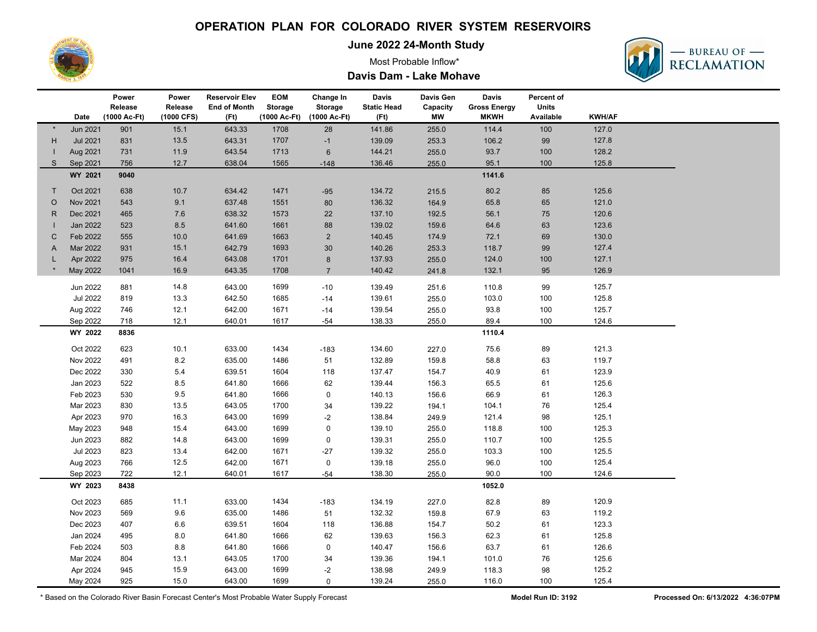

**June 2022 24-Month Study**





### **Davis Dam - Lake Mohave**

|              |                 | Power<br>Release | Power<br>Release | <b>Reservoir Elev</b><br><b>End of Month</b> | <b>EOM</b><br>Storage | Change In<br><b>Storage</b> | Davis<br><b>Static Head</b> | <b>Davis Gen</b><br>Capacity | Davis<br><b>Gross Energy</b> | Percent of<br><b>Units</b> |               |  |
|--------------|-----------------|------------------|------------------|----------------------------------------------|-----------------------|-----------------------------|-----------------------------|------------------------------|------------------------------|----------------------------|---------------|--|
|              | Date            | (1000 Ac-Ft)     | (1000 CFS)       | (Ft)                                         | (1000 Ac-Ft)          | (1000 Ac-Ft)                | (Ft)                        | <b>MW</b>                    | <b>MKWH</b>                  | Available                  | <b>KWH/AF</b> |  |
|              | Jun 2021        | 901              | 15.1             | 643.33                                       | 1708                  | 28                          | 141.86                      | 255.0                        | 114.4                        | 100                        | 127.0         |  |
| н            | <b>Jul 2021</b> | 831              | 13.5             | 643.31                                       | 1707                  | $-1$                        | 139.09                      | 253.3                        | 106.2                        | 99                         | 127.8         |  |
|              | Aug 2021        | 731              | 11.9             | 643.54                                       | 1713                  | $6\phantom{1}$              | 144.21                      | 255.0                        | 93.7                         | 100                        | 128.2         |  |
| S            | Sep 2021        | 756              | 12.7             | 638.04                                       | 1565                  | $-148$                      | 136.46                      | 255.0                        | 95.1                         | 100                        | 125.8         |  |
|              | WY 2021         | 9040             |                  |                                              |                       |                             |                             |                              | 1141.6                       |                            |               |  |
| $\mathsf{T}$ | Oct 2021        | 638              | 10.7             | 634.42                                       | 1471                  | $-95$                       | 134.72                      | 215.5                        | 80.2                         | 85                         | 125.6         |  |
| $\circ$      | Nov 2021        | 543              | 9.1              | 637.48                                       | 1551                  | 80                          | 136.32                      | 164.9                        | 65.8                         | 65                         | 121.0         |  |
| R.           | Dec 2021        | 465              | 7.6              | 638.32                                       | 1573                  | 22                          | 137.10                      | 192.5                        | 56.1                         | 75                         | 120.6         |  |
|              | Jan 2022        | 523              | $8.5\,$          | 641.60                                       | 1661                  | 88                          | 139.02                      | 159.6                        | 64.6                         | 63                         | 123.6         |  |
| C            | Feb 2022        | 555              | 10.0             | 641.69                                       | 1663                  | $\overline{2}$              | 140.45                      | 174.9                        | 72.1                         | 69                         | 130.0         |  |
| A            | Mar 2022        | 931              | 15.1             | 642.79                                       | 1693                  | 30                          | 140.26                      | 253.3                        | 118.7                        | 99                         | 127.4         |  |
|              | Apr 2022        | 975              | 16.4             | 643.08                                       | 1701                  | 8                           | 137.93                      | 255.0                        | 124.0                        | 100                        | 127.1         |  |
|              | May 2022        | 1041             | 16.9             | 643.35                                       | 1708                  | $\overline{7}$              | 140.42                      | 241.8                        | 132.1                        | 95                         | 126.9         |  |
|              | Jun 2022        | 881              | 14.8             | 643.00                                       | 1699                  | $-10$                       | 139.49                      | 251.6                        | 110.8                        | 99                         | 125.7         |  |
|              | <b>Jul 2022</b> | 819              | 13.3             | 642.50                                       | 1685                  | -14                         | 139.61                      | 255.0                        | 103.0                        | 100                        | 125.8         |  |
|              | Aug 2022        | 746              | 12.1             | 642.00                                       | 1671                  | $-14$                       | 139.54                      | 255.0                        | 93.8                         | 100                        | 125.7         |  |
|              | Sep 2022        | 718              | 12.1             | 640.01                                       | 1617                  | $-54$                       | 138.33                      | 255.0                        | 89.4                         | 100                        | 124.6         |  |
|              | WY 2022         | 8836             |                  |                                              |                       |                             |                             |                              | 1110.4                       |                            |               |  |
|              | Oct 2022        | 623              | 10.1             | 633.00                                       | 1434                  | $-183$                      | 134.60                      | 227.0                        | 75.6                         | 89                         | 121.3         |  |
|              | Nov 2022        | 491              | 8.2              | 635.00                                       | 1486                  | 51                          | 132.89                      | 159.8                        | 58.8                         | 63                         | 119.7         |  |
|              | Dec 2022        | 330              | 5.4              | 639.51                                       | 1604                  | 118                         | 137.47                      | 154.7                        | 40.9                         | 61                         | 123.9         |  |
|              | Jan 2023        | 522              | $8.5\,$          | 641.80                                       | 1666                  | 62                          | 139.44                      | 156.3                        | 65.5                         | 61                         | 125.6         |  |
|              | Feb 2023        | 530              | 9.5              | 641.80                                       | 1666                  | 0                           | 140.13                      | 156.6                        | 66.9                         | 61                         | 126.3         |  |
|              | Mar 2023        | 830              | 13.5             | 643.05                                       | 1700                  | 34                          | 139.22                      | 194.1                        | 104.1                        | ${\bf 76}$                 | 125.4         |  |
|              | Apr 2023        | 970              | 16.3             | 643.00                                       | 1699                  | $-2$                        | 138.84                      | 249.9                        | 121.4                        | 98                         | 125.1         |  |
|              | May 2023        | 948              | 15.4             | 643.00                                       | 1699                  | $\pmb{0}$                   | 139.10                      | 255.0                        | 118.8                        | 100                        | 125.3         |  |
|              | Jun 2023        | 882              | 14.8             | 643.00                                       | 1699                  | $\pmb{0}$                   | 139.31                      | 255.0                        | 110.7                        | 100                        | 125.5         |  |
|              | <b>Jul 2023</b> | 823              | 13.4             | 642.00                                       | 1671                  | $-27$                       | 139.32                      | 255.0                        | 103.3                        | 100                        | 125.5         |  |
|              | Aug 2023        | 766              | 12.5             | 642.00                                       | 1671                  | $\mathbf 0$                 | 139.18                      | 255.0                        | 96.0                         | 100                        | 125.4         |  |
|              | Sep 2023        | 722              | 12.1             | 640.01                                       | 1617                  | $-54$                       | 138.30                      | 255.0                        | 90.0                         | 100                        | 124.6         |  |
|              | WY 2023         | 8438             |                  |                                              |                       |                             |                             |                              | 1052.0                       |                            |               |  |
|              | Oct 2023        | 685              | 11.1             | 633.00                                       | 1434                  | $-183$                      | 134.19                      | 227.0                        | 82.8                         | 89                         | 120.9         |  |
|              | Nov 2023        | 569              | 9.6              | 635.00                                       | 1486                  | 51                          | 132.32                      | 159.8                        | 67.9                         | 63                         | 119.2         |  |
|              | Dec 2023        | 407              | 6.6              | 639.51                                       | 1604                  | 118                         | 136.88                      | 154.7                        | 50.2                         | 61                         | 123.3         |  |
|              | Jan 2024        | 495              | 8.0              | 641.80                                       | 1666                  | 62                          | 139.63                      | 156.3                        | 62.3                         | 61                         | 125.8         |  |
|              | Feb 2024        | 503              | $8.8\,$          | 641.80                                       | 1666                  | 0                           | 140.47                      | 156.6                        | 63.7                         | 61                         | 126.6         |  |
|              | Mar 2024        | 804              | 13.1             | 643.05                                       | 1700                  | 34                          | 139.36                      | 194.1                        | 101.0                        | 76                         | 125.6         |  |
|              | Apr 2024        | 945              | 15.9             | 643.00                                       | 1699                  | $-2$                        | 138.98                      | 249.9                        | 118.3                        | 98                         | 125.2         |  |
|              | May 2024        | 925              | 15.0             | 643.00                                       | 1699                  | $\mathbf 0$                 | 139.24                      | 255.0                        | 116.0                        | 100                        | 125.4         |  |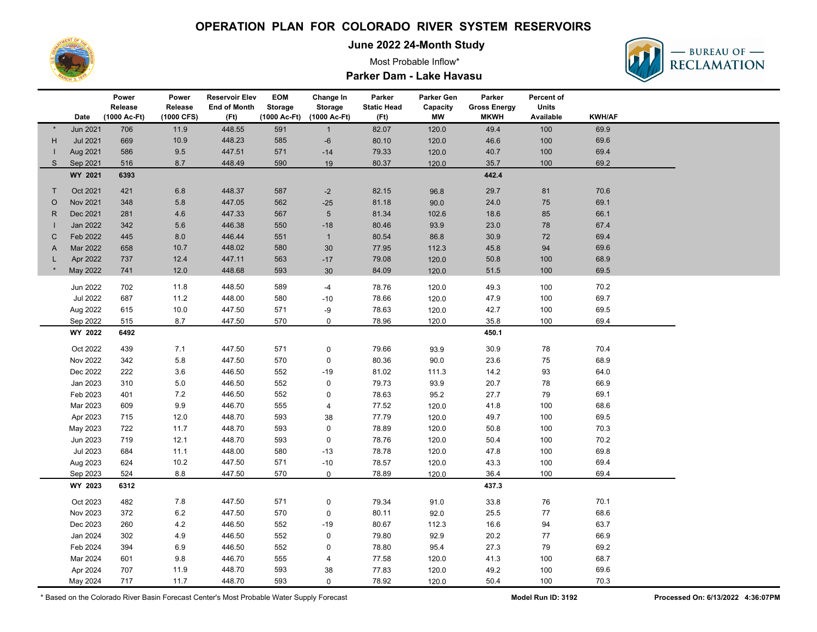

**June 2022 24-Month Study**

## Most Probable Inflow\*



### **Parker Dam - Lake Havasu**

|         |                      | Power        | Power      | <b>Reservoir Elev</b> | <b>EOM</b>   | Change In    | Parker             | Parker Gen     | Parker              | Percent of   |               |  |
|---------|----------------------|--------------|------------|-----------------------|--------------|--------------|--------------------|----------------|---------------------|--------------|---------------|--|
|         |                      | Release      | Release    | <b>End of Month</b>   | Storage      | Storage      | <b>Static Head</b> | Capacity       | <b>Gross Energy</b> | <b>Units</b> |               |  |
|         | Date                 | (1000 Ac-Ft) | (1000 CFS) | (Ft)                  | (1000 Ac-Ft) | (1000 Ac-Ft) | (Ft)               | МW             | <b>MKWH</b>         | Available    | <b>KWH/AF</b> |  |
|         | <b>Jun 2021</b>      | 706          | 11.9       | 448.55                | 591          | $\mathbf{1}$ | 82.07              | 120.0          | 49.4                | 100          | 69.9          |  |
| Н       | <b>Jul 2021</b>      | 669          | 10.9       | 448.23                | 585          | $-6$         | 80.10              | 120.0          | 46.6                | 100          | 69.6          |  |
|         | Aug 2021             | 586          | 9.5        | 447.51                | 571          | $-14$        | 79.33              | 120.0          | 40.7                | 100          | 69.4          |  |
| S       | Sep 2021             | 516          | 8.7        | 448.49                | 590          | 19           | 80.37              | 120.0          | 35.7                | 100          | 69.2          |  |
|         | WY 2021              | 6393         |            |                       |              |              |                    |                | 442.4               |              |               |  |
| T       | Oct 2021             | 421          | 6.8        | 448.37                | 587          | $-2$         | 82.15              | 96.8           | 29.7                | 81           | 70.6          |  |
| $\circ$ | Nov 2021             | 348          | 5.8        | 447.05                | 562          | $-25$        | 81.18              | 90.0           | 24.0                | ${\bf 75}$   | 69.1          |  |
| R       | Dec 2021             | 281          | 4.6        | 447.33                | 567          | 5            | 81.34              | 102.6          | 18.6                | 85           | 66.1          |  |
|         | Jan 2022             | 342          | $5.6\,$    | 446.38                | 550          | $-18$        | 80.46              | 93.9           | 23.0                | 78           | 67.4          |  |
| C       | Feb 2022             | 445          | 8.0        | 446.44                | 551          | $\mathbf{1}$ | 80.54              | 86.8           | 30.9                | 72           | 69.4          |  |
| A       | Mar 2022             | 658          | 10.7       | 448.02                | 580          | 30           | 77.95              | 112.3          | 45.8                | 94           | 69.6          |  |
| L       | Apr 2022             | 737          | 12.4       | 447.11                | 563          | $-17$        | 79.08              | 120.0          | 50.8                | 100          | 68.9          |  |
|         | May 2022             | 741          | 12.0       | 448.68                | 593          | 30           | 84.09              | 120.0          | 51.5                | 100          | 69.5          |  |
|         | Jun 2022             | 702          | 11.8       | 448.50                | 589          | $-4$         | 78.76              | 120.0          | 49.3                | 100          | 70.2          |  |
|         | <b>Jul 2022</b>      | 687          | 11.2       | 448.00                | 580          | $-10$        | 78.66              | 120.0          | 47.9                | 100          | 69.7          |  |
|         |                      | 615          | 10.0       | 447.50                | 571          | -9           | 78.63              |                |                     | 100          | 69.5          |  |
|         | Aug 2022<br>Sep 2022 | 515          | 8.7        | 447.50                | 570          | 0            | 78.96              | 120.0<br>120.0 | 42.7<br>35.8        | 100          | 69.4          |  |
|         | WY 2022              | 6492         |            |                       |              |              |                    |                | 450.1               |              |               |  |
|         |                      |              |            |                       |              |              |                    |                |                     |              |               |  |
|         | Oct 2022             | 439          | 7.1        | 447.50                | 571          | 0            | 79.66              | 93.9           | 30.9                | ${\bf 78}$   | 70.4          |  |
|         | Nov 2022             | 342          | 5.8        | 447.50                | 570          | 0            | 80.36              | 90.0           | 23.6                | 75           | 68.9          |  |
|         | Dec 2022             | 222          | 3.6        | 446.50                | 552          | $-19$        | 81.02              | 111.3          | 14.2                | 93           | 64.0          |  |
|         | Jan 2023             | 310          | 5.0        | 446.50                | 552          | 0            | 79.73              | 93.9           | 20.7                | 78           | 66.9          |  |
|         | Feb 2023             | 401          | 7.2        | 446.50                | 552          | 0            | 78.63              | 95.2           | 27.7                | 79           | 69.1          |  |
|         | Mar 2023             | 609          | 9.9        | 446.70                | 555          | 4            | 77.52              | 120.0          | 41.8                | 100          | 68.6          |  |
|         | Apr 2023             | 715          | 12.0       | 448.70                | 593          | 38           | 77.79              | 120.0          | 49.7                | 100          | 69.5          |  |
|         | May 2023             | 722          | 11.7       | 448.70                | 593          | $\mathsf{O}$ | 78.89              | 120.0          | 50.8                | 100          | 70.3          |  |
|         | Jun 2023             | 719          | 12.1       | 448.70                | 593          | 0            | 78.76              | 120.0          | 50.4                | 100          | 70.2          |  |
|         | Jul 2023             | 684          | 11.1       | 448.00                | 580          | $-13$        | 78.78              | 120.0          | 47.8                | 100          | 69.8          |  |
|         | Aug 2023             | 624          | 10.2       | 447.50                | 571          | $-10$        | 78.57              | 120.0          | 43.3                | 100          | 69.4          |  |
|         | Sep 2023             | 524          | 8.8        | 447.50                | 570          | $\mathbf 0$  | 78.89              | 120.0          | 36.4                | 100          | 69.4          |  |
|         | WY 2023              | 6312         |            |                       |              |              |                    |                | 437.3               |              |               |  |
|         | Oct 2023             | 482          | 7.8        | 447.50                | 571          | 0            | 79.34              | 91.0           | 33.8                | 76           | 70.1          |  |
|         | Nov 2023             | 372          | $6.2\,$    | 447.50                | 570          | 0            | 80.11              | 92.0           | 25.5                | $77$         | 68.6          |  |
|         | Dec 2023             | 260          | 4.2        | 446.50                | 552          | -19          | 80.67              | 112.3          | 16.6                | 94           | 63.7          |  |
|         | Jan 2024             | 302          | 4.9        | 446.50                | 552          | 0            | 79.80              | 92.9           | 20.2                | 77           | 66.9          |  |
|         | Feb 2024             | 394          | 6.9        | 446.50                | 552          | 0            | 78.80              | 95.4           | 27.3                | 79           | 69.2          |  |
|         | Mar 2024             | 601          | 9.8        | 446.70                | 555          | 4            | 77.58              | 120.0          | 41.3                | 100          | 68.7          |  |
|         | Apr 2024             | 707          | 11.9       | 448.70                | 593          | 38           | 77.83              | 120.0          | 49.2                | 100          | 69.6          |  |
|         | May 2024             | 717          | 11.7       | 448.70                | 593          | 0            | 78.92              | 120.0          | 50.4                | 100          | 70.3          |  |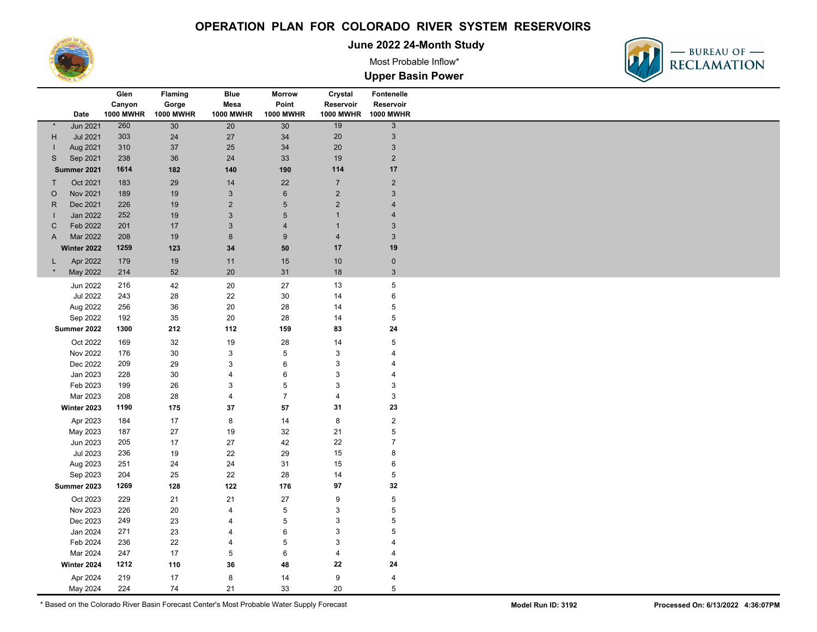

**June 2022 24-Month Study**

Most Probable Inflow\*

### **Upper Basin Power**



|              |                 | Glen             | Flaming          | <b>Blue</b>               | <b>Morrow</b>    | Crystal                   | Fontenelle                |
|--------------|-----------------|------------------|------------------|---------------------------|------------------|---------------------------|---------------------------|
|              |                 | Canyon           | Gorge            | Mesa                      | Point            | Reservoir                 | Reservoir                 |
|              | Date            | <b>1000 MWHR</b> | <b>1000 MWHR</b> | <b>1000 MWHR</b>          | <b>1000 MWHR</b> | <b>1000 MWHR</b>          | <b>1000 MWHR</b>          |
|              | <b>Jun 2021</b> | 260              | 30               | 20                        | 30               | 19                        | $\overline{3}$            |
| H            | Jul 2021        | 303              | 24               | 27                        | 34               | $20\,$                    | $\ensuremath{\mathsf{3}}$ |
|              | Aug 2021        | 310              | 37               | 25                        | 34               | $20\,$                    | $\ensuremath{\mathsf{3}}$ |
| S            | Sep 2021        | 238              | 36               | 24                        | 33               | 19                        | $\sqrt{2}$                |
|              | Summer 2021     | 1614             | 182              | 140                       | 190              | 114                       | 17                        |
| Т            | Oct 2021        | 183              | 29               | 14                        | 22               | $\overline{7}$            | $\sqrt{2}$                |
| $\circ$      | Nov 2021        | 189              | 19               | $\mathsf 3$               | $\,6\,$          | $\sqrt{2}$                | $\mathsf 3$               |
| $\mathsf{R}$ | Dec 2021        | 226              | 19               | $\overline{2}$            | 5                | $\overline{2}$            | $\overline{4}$            |
|              | Jan 2022        | 252              | 19               | $\mathbf{3}$              | $\overline{5}$   | $\mathbf{1}$              | $\overline{4}$            |
| C            | Feb 2022        | 201              | 17               | 3                         | $\overline{4}$   | $\mathbf{1}$              | $\mathbf{3}$              |
| A            | Mar 2022        | 208              | 19               | $\bf 8$                   | $9\,$            | $\sqrt{4}$                | $\ensuremath{\mathsf{3}}$ |
|              | Winter 2022     | 1259             | 123              | 34                        | 50               | 17                        | 19                        |
|              |                 |                  |                  |                           |                  |                           |                           |
| L            | Apr 2022        | 179              | $19$             | 11                        | 15               | 10                        | $\pmb{0}$                 |
| $\star$      | May 2022        | 214              | $52\,$           | 20                        | 31               | $18$                      | $\sqrt{3}$                |
|              | Jun 2022        | 216              | $42\,$           | 20                        | 27               | $13$                      | $\,$ 5 $\,$               |
|              | <b>Jul 2022</b> | 243              | $28\,$           | 22                        | 30               | 14                        | $\,6$                     |
|              | Aug 2022        | 256              | 36               | 20                        | 28               | 14                        | $\,$ 5 $\,$               |
|              | Sep 2022        | 192              | 35               | 20                        | 28               | 14                        | $\,$ 5 $\,$               |
|              | Summer 2022     | 1300             | 212              | 112                       | 159              | 83                        | ${\bf 24}$                |
|              | Oct 2022        | 169              | $32\,$           | 19                        | 28               | 14                        | $\,$ 5 $\,$               |
|              | Nov 2022        | 176              | $30\,$           | $\mathbf{3}$              | 5                | 3                         | 4                         |
|              | Dec 2022        | 209              | 29               | 3                         | $\,6\,$          | 3                         | $\overline{4}$            |
|              | Jan 2023        | 228              | 30               | $\overline{4}$            | $\,6\,$          | 3                         | $\overline{\mathbf{4}}$   |
|              | Feb 2023        | 199              | 26               | $\ensuremath{\mathsf{3}}$ | $\,$ 5 $\,$      | 3                         | $\ensuremath{\mathsf{3}}$ |
|              | Mar 2023        | 208              |                  | 4                         | $\overline{7}$   | 4                         | $\ensuremath{\mathsf{3}}$ |
|              |                 |                  | 28               |                           |                  |                           |                           |
|              | Winter 2023     | 1190             | 175              | 37                        | 57               | 31                        | 23                        |
|              | Apr 2023        | 184              | 17               | 8                         | 14               | 8                         | $\overline{c}$            |
|              | May 2023        | 187              | 27               | 19                        | 32               | 21                        | $\,$ 5 $\,$               |
|              | Jun 2023        | 205              | 17               | 27                        | 42               | $22\,$                    | $\overline{7}$            |
|              | Jul 2023        | 236              | 19               | 22                        | 29               | $15\,$                    | 8                         |
|              | Aug 2023        | 251              | 24               | 24                        | 31               | 15                        | $\,6\,$                   |
|              | Sep 2023        | 204              | $25\,$           | 22                        | 28               | 14                        | $\,$ 5 $\,$               |
|              | Summer 2023     | 1269             | 128              | 122                       | 176              | 97                        | 32                        |
|              | Oct 2023        | 229              | 21               | 21                        | 27               | 9                         | $\sqrt{5}$                |
|              | Nov 2023        | 226              | 20               | $\overline{\mathbf{4}}$   | $\,$ 5 $\,$      | $\ensuremath{\mathsf{3}}$ | $\sqrt{5}$                |
|              | Dec 2023        | 249              | 23               | 4                         | $\sqrt{5}$       | 3                         | 5                         |
|              | Jan 2024        | 271              | 23               | $\overline{4}$            | $\boldsymbol{6}$ | 3                         | 5                         |
|              | Feb 2024        |                  | 22               | 4                         | 5                | 3                         | 4                         |
|              |                 | 236              |                  |                           |                  |                           |                           |
|              | Mar 2024        | 247              | 17               | 5                         | $\,6\,$          | 4                         | 4                         |
|              | Winter 2024     | 1212             | 110              | 36                        | 48               | 22                        | 24                        |
|              | Apr 2024        | 219              | 17               | 8                         | 14               | 9                         | 4                         |
|              | May 2024        | 224              | 74               | 21                        | 33               | 20                        | 5                         |